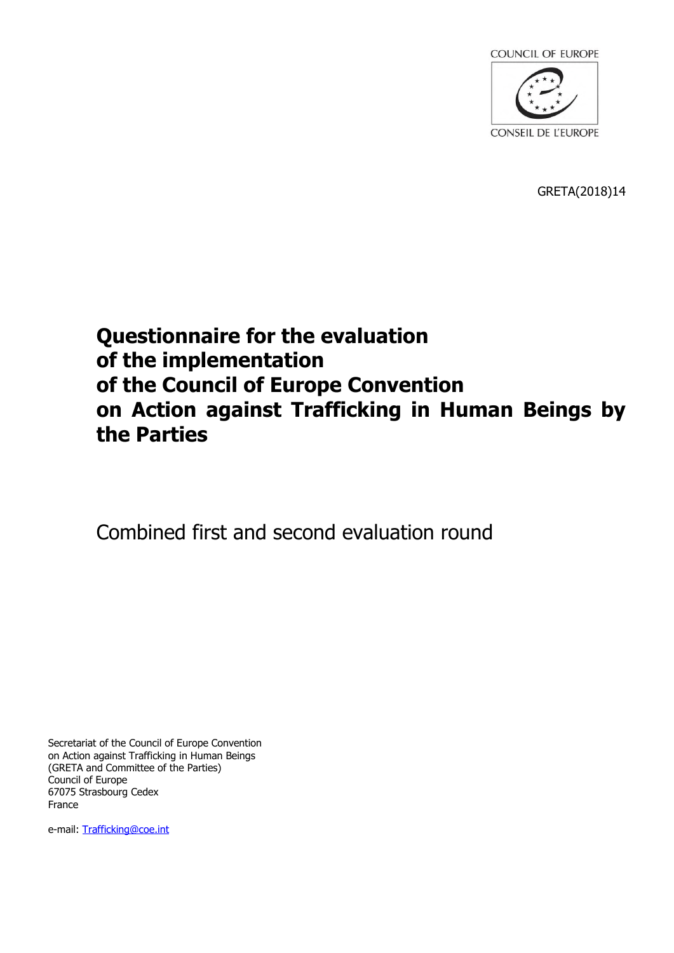

GRETA(2018)14

# **Questionnaire for the evaluation of the implementation of the Council of Europe Convention on Action against Trafficking in Human Beings by the Parties**

Combined first and second evaluation round

Secretariat of the Council of Europe Convention on Action against Trafficking in Human Beings (GRETA and Committee of the Parties) Council of Europe 67075 Strasbourg Cedex France

e-mail: Trafficking@coe.int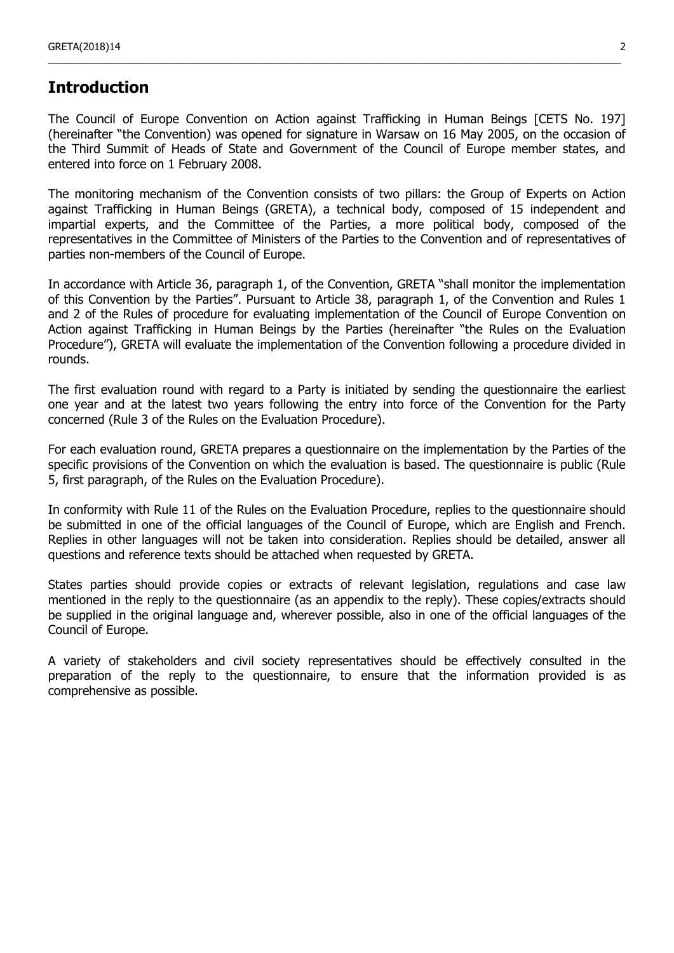## **Introduction**

The Council of Europe Convention on Action against Trafficking in Human Beings [CETS No. 197] (hereinafter "the Convention) was opened for signature in Warsaw on 16 May 2005, on the occasion of the Third Summit of Heads of State and Government of the Council of Europe member states, and entered into force on 1 February 2008.

\_\_\_\_\_\_\_\_\_\_\_\_\_\_\_\_\_\_\_\_\_\_\_\_\_\_\_\_\_\_\_\_\_\_\_\_\_\_\_\_\_\_\_\_\_\_\_\_\_\_\_\_\_\_\_\_\_\_\_\_\_\_\_\_\_\_\_\_\_\_\_\_\_\_\_\_\_\_\_\_\_\_\_\_\_\_\_\_\_\_\_\_\_\_\_\_\_\_\_\_\_\_\_

The monitoring mechanism of the Convention consists of two pillars: the Group of Experts on Action against Trafficking in Human Beings (GRETA), a technical body, composed of 15 independent and impartial experts, and the Committee of the Parties, a more political body, composed of the representatives in the Committee of Ministers of the Parties to the Convention and of representatives of parties non-members of the Council of Europe.

In accordance with Article 36, paragraph 1, of the Convention, GRETA "shall monitor the implementation of this Convention by the Parties". Pursuant to Article 38, paragraph 1, of the Convention and Rules 1 and 2 of the Rules of procedure for evaluating implementation of the Council of Europe Convention on Action against Trafficking in Human Beings by the Parties (hereinafter "the Rules on the Evaluation Procedure"), GRETA will evaluate the implementation of the Convention following a procedure divided in rounds.

The first evaluation round with regard to a Party is initiated by sending the questionnaire the earliest one year and at the latest two years following the entry into force of the Convention for the Party concerned (Rule 3 of the Rules on the Evaluation Procedure).

For each evaluation round, GRETA prepares a questionnaire on the implementation by the Parties of the specific provisions of the Convention on which the evaluation is based. The questionnaire is public (Rule 5, first paragraph, of the Rules on the Evaluation Procedure).

In conformity with Rule 11 of the Rules on the Evaluation Procedure, replies to the questionnaire should be submitted in one of the official languages of the Council of Europe, which are English and French. Replies in other languages will not be taken into consideration. Replies should be detailed, answer all questions and reference texts should be attached when requested by GRETA.

States parties should provide copies or extracts of relevant legislation, regulations and case law mentioned in the reply to the questionnaire (as an appendix to the reply). These copies/extracts should be supplied in the original language and, wherever possible, also in one of the official languages of the Council of Europe.

A variety of stakeholders and civil society representatives should be effectively consulted in the preparation of the reply to the questionnaire, to ensure that the information provided is as comprehensive as possible.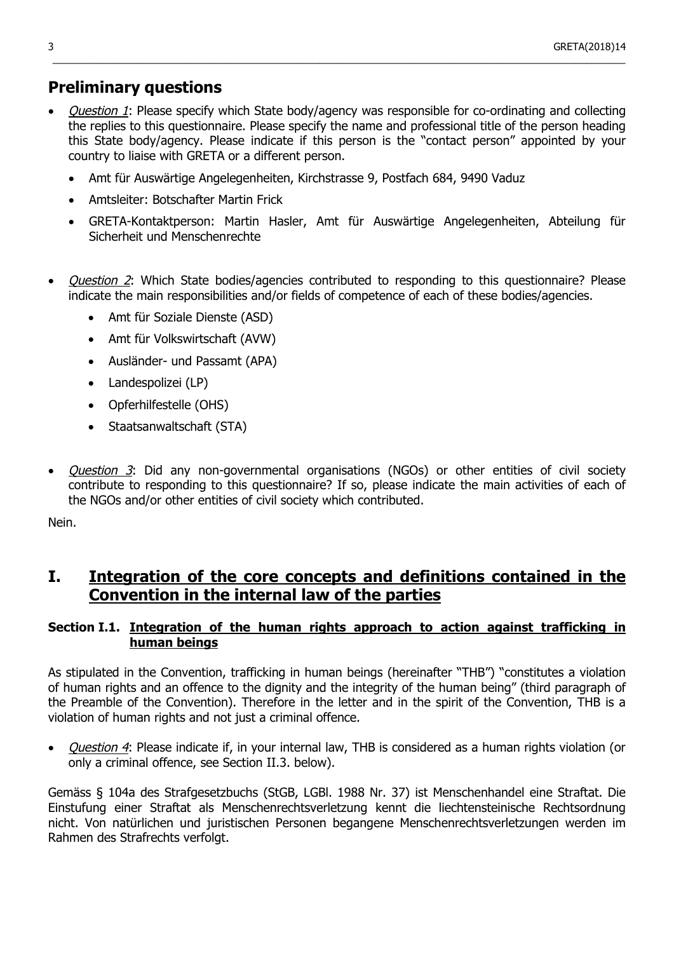## **Preliminary questions**

- Question 1: Please specify which State body/agency was responsible for co-ordinating and collecting the replies to this questionnaire. Please specify the name and professional title of the person heading this State body/agency. Please indicate if this person is the "contact person" appointed by your country to liaise with GRETA or a different person.
	- Amt für Auswärtige Angelegenheiten, Kirchstrasse 9, Postfach 684, 9490 Vaduz
	- Amtsleiter: Botschafter Martin Frick
	- GRETA-Kontaktperson: Martin Hasler, Amt für Auswärtige Angelegenheiten, Abteilung für Sicherheit und Menschenrechte
- *Question 2*: Which State bodies/agencies contributed to responding to this questionnaire? Please indicate the main responsibilities and/or fields of competence of each of these bodies/agencies.
	- Amt für Soziale Dienste (ASD)
	- Amt für Volkswirtschaft (AVW)
	- Ausländer- und Passamt (APA)
	- Landespolizei (LP)
	- Opferhilfestelle (OHS)
	- Staatsanwaltschaft (STA)
- Question 3: Did any non-governmental organisations (NGOs) or other entities of civil society contribute to responding to this questionnaire? If so, please indicate the main activities of each of the NGOs and/or other entities of civil society which contributed.

Nein.

## **I. Integration of the core concepts and definitions contained in the Convention in the internal law of the parties**

### **Section I.1. Integration of the human rights approach to action against trafficking in human beings**

As stipulated in the Convention, trafficking in human beings (hereinafter "THB") "constitutes a violation of human rights and an offence to the dignity and the integrity of the human being" (third paragraph of the Preamble of the Convention). Therefore in the letter and in the spirit of the Convention, THB is a violation of human rights and not just a criminal offence.

• *Question 4*: Please indicate if, in your internal law, THB is considered as a human rights violation (or only a criminal offence, see Section II.3. below).

Gemäss § 104a des Strafgesetzbuchs (StGB, LGBl. 1988 Nr. 37) ist Menschenhandel eine Straftat. Die Einstufung einer Straftat als Menschenrechtsverletzung kennt die liechtensteinische Rechtsordnung nicht. Von natürlichen und juristischen Personen begangene Menschenrechtsverletzungen werden im Rahmen des Strafrechts verfolgt.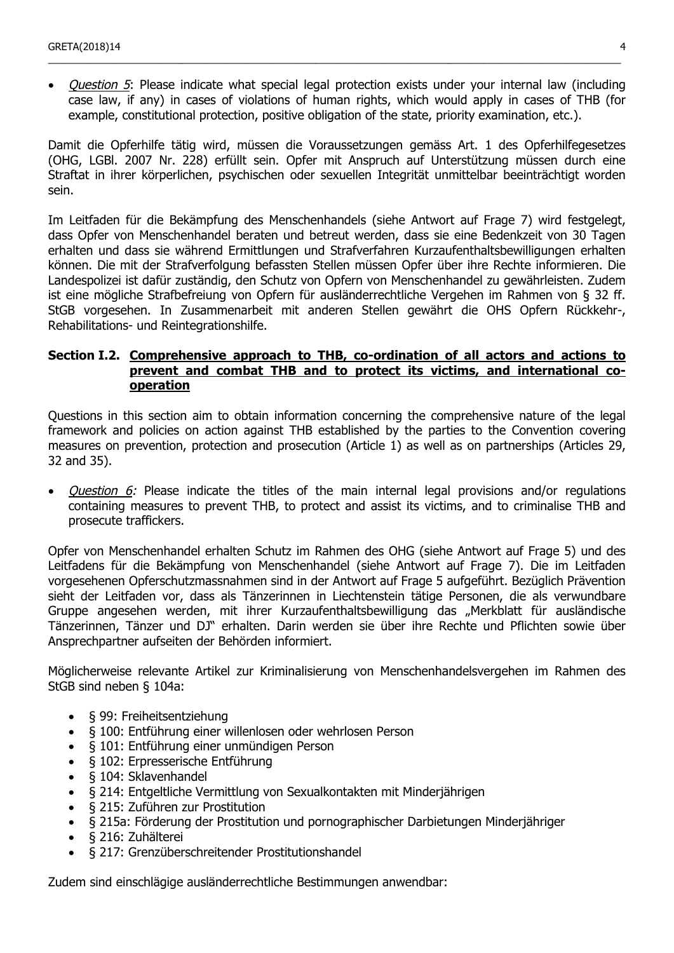• *Ouestion 5*: Please indicate what special legal protection exists under your internal law (including case law, if any) in cases of violations of human rights, which would apply in cases of THB (for example, constitutional protection, positive obligation of the state, priority examination, etc.).

\_\_\_\_\_\_\_\_\_\_\_\_\_\_\_\_\_\_\_\_\_\_\_\_\_\_\_\_\_\_\_\_\_\_\_\_\_\_\_\_\_\_\_\_\_\_\_\_\_\_\_\_\_\_\_\_\_\_\_\_\_\_\_\_\_\_\_\_\_\_\_\_\_\_\_\_\_\_\_\_\_\_\_\_\_\_\_\_\_\_\_\_\_\_\_\_\_\_\_\_\_\_\_

Damit die Opferhilfe tätig wird, müssen die Voraussetzungen gemäss Art. 1 des Opferhilfegesetzes (OHG, LGBl. 2007 Nr. 228) erfüllt sein. Opfer mit Anspruch auf Unterstützung müssen durch eine Straftat in ihrer körperlichen, psychischen oder sexuellen Integrität unmittelbar beeinträchtigt worden sein.

Im Leitfaden für die Bekämpfung des Menschenhandels (siehe Antwort auf Frage 7) wird festgelegt, dass Opfer von Menschenhandel beraten und betreut werden, dass sie eine Bedenkzeit von 30 Tagen erhalten und dass sie während Ermittlungen und Strafverfahren Kurzaufenthaltsbewilligungen erhalten können. Die mit der Strafverfolgung befassten Stellen müssen Opfer über ihre Rechte informieren. Die Landespolizei ist dafür zuständig, den Schutz von Opfern von Menschenhandel zu gewährleisten. Zudem ist eine mögliche Strafbefreiung von Opfern für ausländerrechtliche Vergehen im Rahmen von § 32 ff. StGB vorgesehen. In Zusammenarbeit mit anderen Stellen gewährt die OHS Opfern Rückkehr-, Rehabilitations- und Reintegrationshilfe.

### **Section I.2. Comprehensive approach to THB, co-ordination of all actors and actions to prevent and combat THB and to protect its victims, and international cooperation**

Questions in this section aim to obtain information concerning the comprehensive nature of the legal framework and policies on action against THB established by the parties to the Convention covering measures on prevention, protection and prosecution (Article 1) as well as on partnerships (Articles 29, 32 and 35).

• *Question 6:* Please indicate the titles of the main internal legal provisions and/or regulations containing measures to prevent THB, to protect and assist its victims, and to criminalise THB and prosecute traffickers.

Opfer von Menschenhandel erhalten Schutz im Rahmen des OHG (siehe Antwort auf Frage 5) und des Leitfadens für die Bekämpfung von Menschenhandel (siehe Antwort auf Frage 7). Die im Leitfaden vorgesehenen Opferschutzmassnahmen sind in der Antwort auf Frage 5 aufgeführt. Bezüglich Prävention sieht der Leitfaden vor, dass als Tänzerinnen in Liechtenstein tätige Personen, die als verwundbare Gruppe angesehen werden, mit ihrer Kurzaufenthaltsbewilligung das "Merkblatt für ausländische Tänzerinnen, Tänzer und DJ" erhalten. Darin werden sie über ihre Rechte und Pflichten sowie über Ansprechpartner aufseiten der Behörden informiert.

Möglicherweise relevante Artikel zur Kriminalisierung von Menschenhandelsvergehen im Rahmen des StGB sind neben § 104a:

- § 99: Freiheitsentziehung
- § 100: Entführung einer willenlosen oder wehrlosen Person
- § 101: Entführung einer unmündigen Person
- § 102: Erpresserische Entführung
- § 104: Sklavenhandel
- § 214: Entgeltliche Vermittlung von Sexualkontakten mit Minderjährigen
- § 215: Zuführen zur Prostitution
- § 215a: Förderung der Prostitution und pornographischer Darbietungen Minderjähriger
- § 216: Zuhälterei
- § 217: Grenzüberschreitender Prostitutionshandel

Zudem sind einschlägige ausländerrechtliche Bestimmungen anwendbar: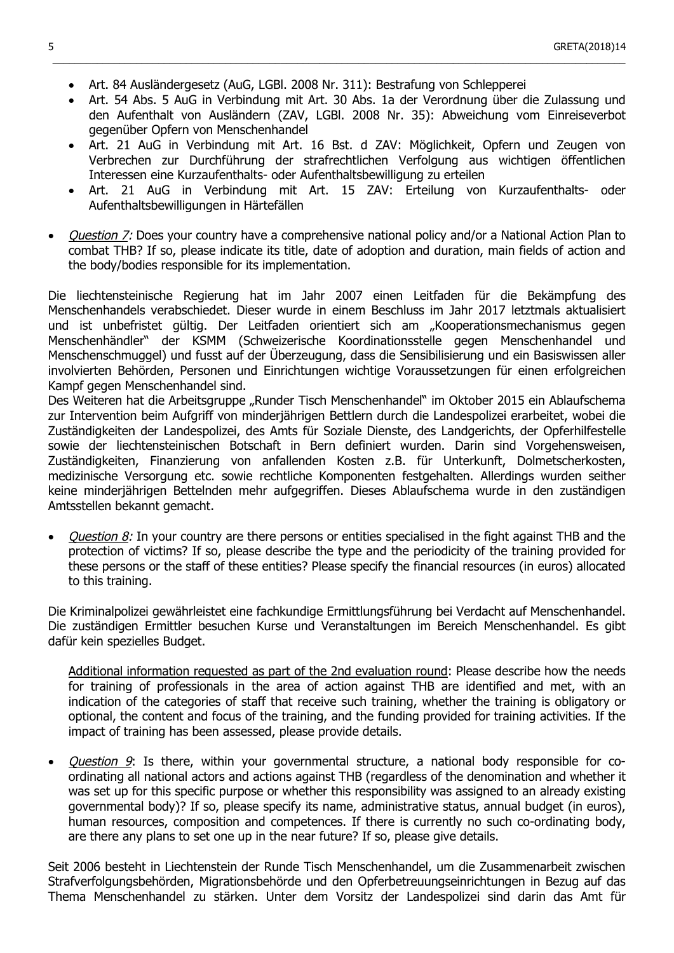- Art. 84 Ausländergesetz (AuG, LGBl. 2008 Nr. 311): Bestrafung von Schlepperei
- Art. 54 Abs. 5 AuG in Verbindung mit Art. 30 Abs. 1a der Verordnung über die Zulassung und den Aufenthalt von Ausländern (ZAV, LGBl. 2008 Nr. 35): Abweichung vom Einreiseverbot gegenüber Opfern von Menschenhandel

 $\_$  ,  $\_$  ,  $\_$  ,  $\_$  ,  $\_$  ,  $\_$  ,  $\_$  ,  $\_$  ,  $\_$  ,  $\_$  ,  $\_$  ,  $\_$  ,  $\_$  ,  $\_$  ,  $\_$  ,  $\_$  ,  $\_$  ,  $\_$  ,  $\_$  ,  $\_$  ,  $\_$  ,  $\_$  ,  $\_$  ,  $\_$  ,  $\_$  ,  $\_$  ,  $\_$  ,  $\_$  ,  $\_$  ,  $\_$  ,  $\_$  ,  $\_$  ,  $\_$  ,  $\_$  ,  $\_$  ,  $\_$  ,  $\_$  ,

- Art. 21 AuG in Verbindung mit Art. 16 Bst. d ZAV: Möglichkeit, Opfern und Zeugen von Verbrechen zur Durchführung der strafrechtlichen Verfolgung aus wichtigen öffentlichen Interessen eine Kurzaufenthalts- oder Aufenthaltsbewilligung zu erteilen
- Art. 21 AuG in Verbindung mit Art. 15 ZAV: Erteilung von Kurzaufenthalts- oder Aufenthaltsbewilligungen in Härtefällen
- *Question 7:* Does your country have a comprehensive national policy and/or a National Action Plan to combat THB? If so, please indicate its title, date of adoption and duration, main fields of action and the body/bodies responsible for its implementation.

Die liechtensteinische Regierung hat im Jahr 2007 einen Leitfaden für die Bekämpfung des Menschenhandels verabschiedet. Dieser wurde in einem Beschluss im Jahr 2017 letztmals aktualisiert und ist unbefristet gültig. Der Leitfaden orientiert sich am "Kooperationsmechanismus gegen Menschenhändler" der KSMM (Schweizerische Koordinationsstelle gegen Menschenhandel und Menschenschmuggel) und fusst auf der Überzeugung, dass die Sensibilisierung und ein Basiswissen aller involvierten Behörden, Personen und Einrichtungen wichtige Voraussetzungen für einen erfolgreichen Kampf gegen Menschenhandel sind.

Des Weiteren hat die Arbeitsgruppe "Runder Tisch Menschenhandel" im Oktober 2015 ein Ablaufschema zur Intervention beim Aufgriff von minderjährigen Bettlern durch die Landespolizei erarbeitet, wobei die Zuständigkeiten der Landespolizei, des Amts für Soziale Dienste, des Landgerichts, der Opferhilfestelle sowie der liechtensteinischen Botschaft in Bern definiert wurden. Darin sind Vorgehensweisen, Zuständigkeiten, Finanzierung von anfallenden Kosten z.B. für Unterkunft, Dolmetscherkosten, medizinische Versorgung etc. sowie rechtliche Komponenten festgehalten. Allerdings wurden seither keine minderjährigen Bettelnden mehr aufgegriffen. Dieses Ablaufschema wurde in den zuständigen Amtsstellen bekannt gemacht.

Question 8: In your country are there persons or entities specialised in the fight against THB and the protection of victims? If so, please describe the type and the periodicity of the training provided for these persons or the staff of these entities? Please specify the financial resources (in euros) allocated to this training.

Die Kriminalpolizei gewährleistet eine fachkundige Ermittlungsführung bei Verdacht auf Menschenhandel. Die zuständigen Ermittler besuchen Kurse und Veranstaltungen im Bereich Menschenhandel. Es gibt dafür kein spezielles Budget.

Additional information requested as part of the 2nd evaluation round: Please describe how the needs for training of professionals in the area of action against THB are identified and met, with an indication of the categories of staff that receive such training, whether the training is obligatory or optional, the content and focus of the training, and the funding provided for training activities. If the impact of training has been assessed, please provide details.

• Question 9: Is there, within your governmental structure, a national body responsible for coordinating all national actors and actions against THB (regardless of the denomination and whether it was set up for this specific purpose or whether this responsibility was assigned to an already existing governmental body)? If so, please specify its name, administrative status, annual budget (in euros), human resources, composition and competences. If there is currently no such co-ordinating body, are there any plans to set one up in the near future? If so, please give details.

Seit 2006 besteht in Liechtenstein der Runde Tisch Menschenhandel, um die Zusammenarbeit zwischen Strafverfolgungsbehörden, Migrationsbehörde und den Opferbetreuungseinrichtungen in Bezug auf das Thema Menschenhandel zu stärken. Unter dem Vorsitz der Landespolizei sind darin das Amt für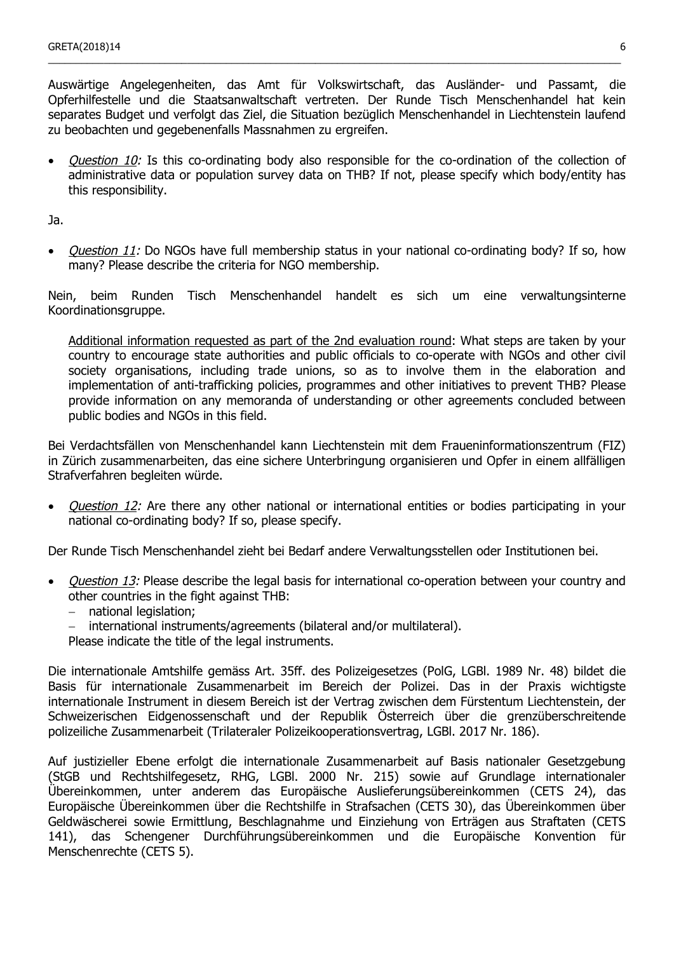Auswärtige Angelegenheiten, das Amt für Volkswirtschaft, das Ausländer- und Passamt, die Opferhilfestelle und die Staatsanwaltschaft vertreten. Der Runde Tisch Menschenhandel hat kein separates Budget und verfolgt das Ziel, die Situation bezüglich Menschenhandel in Liechtenstein laufend zu beobachten und gegebenenfalls Massnahmen zu ergreifen.

\_\_\_\_\_\_\_\_\_\_\_\_\_\_\_\_\_\_\_\_\_\_\_\_\_\_\_\_\_\_\_\_\_\_\_\_\_\_\_\_\_\_\_\_\_\_\_\_\_\_\_\_\_\_\_\_\_\_\_\_\_\_\_\_\_\_\_\_\_\_\_\_\_\_\_\_\_\_\_\_\_\_\_\_\_\_\_\_\_\_\_\_\_\_\_\_\_\_\_\_\_\_\_

• *Question 10:* Is this co-ordinating body also responsible for the co-ordination of the collection of administrative data or population survey data on THB? If not, please specify which body/entity has this responsibility.

Ja.

• *Question 11:* Do NGOs have full membership status in your national co-ordinating body? If so, how many? Please describe the criteria for NGO membership.

Nein, beim Runden Tisch Menschenhandel handelt es sich um eine verwaltungsinterne Koordinationsgruppe.

Additional information requested as part of the 2nd evaluation round: What steps are taken by your country to encourage state authorities and public officials to co-operate with NGOs and other civil society organisations, including trade unions, so as to involve them in the elaboration and implementation of anti-trafficking policies, programmes and other initiatives to prevent THB? Please provide information on any memoranda of understanding or other agreements concluded between public bodies and NGOs in this field.

Bei Verdachtsfällen von Menschenhandel kann Liechtenstein mit dem Fraueninformationszentrum (FIZ) in Zürich zusammenarbeiten, das eine sichere Unterbringung organisieren und Opfer in einem allfälligen Strafverfahren begleiten würde.

*Question 12:* Are there any other national or international entities or bodies participating in your national co-ordinating body? If so, please specify.

Der Runde Tisch Menschenhandel zieht bei Bedarf andere Verwaltungsstellen oder Institutionen bei.

- *Ouestion 13:* Please describe the legal basis for international co-operation between your country and other countries in the fight against THB:
	- − national legislation;
	- − international instruments/agreements (bilateral and/or multilateral).
	- Please indicate the title of the legal instruments.

Die internationale Amtshilfe gemäss Art. 35ff. des Polizeigesetzes (PolG, LGBl. 1989 Nr. 48) bildet die Basis für internationale Zusammenarbeit im Bereich der Polizei. Das in der Praxis wichtigste internationale Instrument in diesem Bereich ist der Vertrag zwischen dem Fürstentum Liechtenstein, der Schweizerischen Eidgenossenschaft und der Republik Österreich über die grenzüberschreitende polizeiliche Zusammenarbeit (Trilateraler Polizeikooperationsvertrag, LGBl. 2017 Nr. 186).

Auf justizieller Ebene erfolgt die internationale Zusammenarbeit auf Basis nationaler Gesetzgebung (StGB und Rechtshilfegesetz, RHG, LGBl. 2000 Nr. 215) sowie auf Grundlage internationaler Übereinkommen, unter anderem das Europäische Auslieferungsübereinkommen (CETS 24), das Europäische Übereinkommen über die Rechtshilfe in Strafsachen (CETS 30), das Übereinkommen über Geldwäscherei sowie Ermittlung, Beschlagnahme und Einziehung von Erträgen aus Straftaten (CETS 141), das Schengener Durchführungsübereinkommen und die Europäische Konvention für Menschenrechte (CETS 5).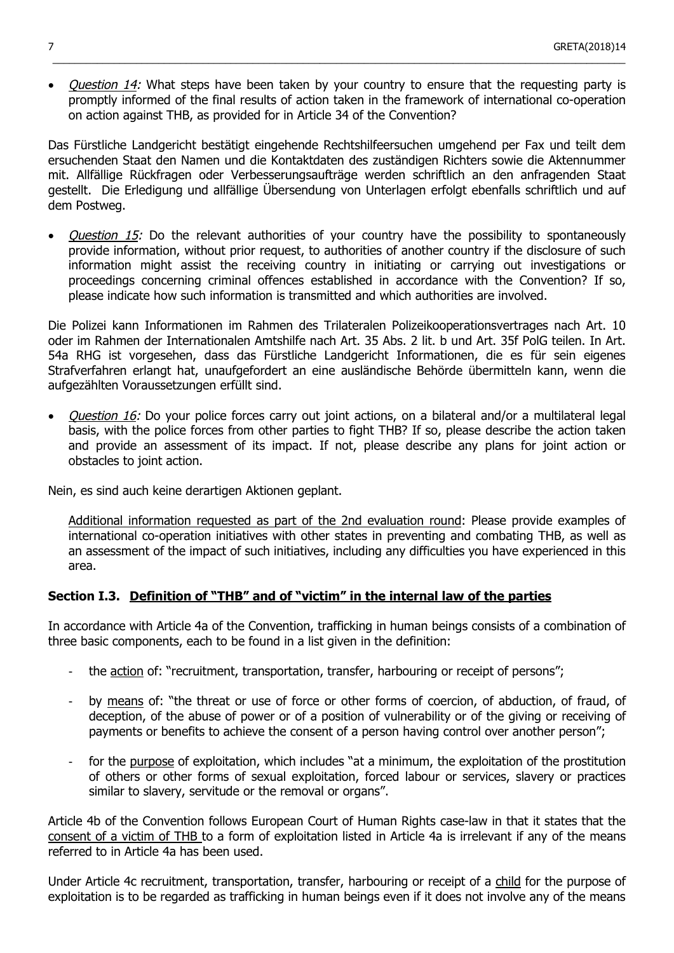• *Ouestion 14:* What steps have been taken by your country to ensure that the requesting party is promptly informed of the final results of action taken in the framework of international co-operation on action against THB, as provided for in Article 34 of the Convention?

 $\_$  ,  $\_$  ,  $\_$  ,  $\_$  ,  $\_$  ,  $\_$  ,  $\_$  ,  $\_$  ,  $\_$  ,  $\_$  ,  $\_$  ,  $\_$  ,  $\_$  ,  $\_$  ,  $\_$  ,  $\_$  ,  $\_$  ,  $\_$  ,  $\_$  ,  $\_$  ,  $\_$  ,  $\_$  ,  $\_$  ,  $\_$  ,  $\_$  ,  $\_$  ,  $\_$  ,  $\_$  ,  $\_$  ,  $\_$  ,  $\_$  ,  $\_$  ,  $\_$  ,  $\_$  ,  $\_$  ,  $\_$  ,  $\_$  ,

Das Fürstliche Landgericht bestätigt eingehende Rechtshilfeersuchen umgehend per Fax und teilt dem ersuchenden Staat den Namen und die Kontaktdaten des zuständigen Richters sowie die Aktennummer mit. Allfällige Rückfragen oder Verbesserungsaufträge werden schriftlich an den anfragenden Staat gestellt. Die Erledigung und allfällige Übersendung von Unterlagen erfolgt ebenfalls schriftlich und auf dem Postweg.

• *Question 15:* Do the relevant authorities of your country have the possibility to spontaneously provide information, without prior request, to authorities of another country if the disclosure of such information might assist the receiving country in initiating or carrying out investigations or proceedings concerning criminal offences established in accordance with the Convention? If so, please indicate how such information is transmitted and which authorities are involved.

Die Polizei kann Informationen im Rahmen des Trilateralen Polizeikooperationsvertrages nach Art. 10 oder im Rahmen der Internationalen Amtshilfe nach Art. 35 Abs. 2 lit. b und Art. 35f PolG teilen. In Art. 54a RHG ist vorgesehen, dass das Fürstliche Landgericht Informationen, die es für sein eigenes Strafverfahren erlangt hat, unaufgefordert an eine ausländische Behörde übermitteln kann, wenn die aufgezählten Voraussetzungen erfüllt sind.

• Question 16: Do your police forces carry out joint actions, on a bilateral and/or a multilateral legal basis, with the police forces from other parties to fight THB? If so, please describe the action taken and provide an assessment of its impact. If not, please describe any plans for joint action or obstacles to joint action.

Nein, es sind auch keine derartigen Aktionen geplant.

Additional information requested as part of the 2nd evaluation round: Please provide examples of international co-operation initiatives with other states in preventing and combating THB, as well as an assessment of the impact of such initiatives, including any difficulties you have experienced in this area.

## **Section I.3. Definition of "THB" and of "victim" in the internal law of the parties**

In accordance with Article 4a of the Convention, trafficking in human beings consists of a combination of three basic components, each to be found in a list given in the definition:

- the action of: "recruitment, transportation, transfer, harbouring or receipt of persons";
- by means of: "the threat or use of force or other forms of coercion, of abduction, of fraud, of deception, of the abuse of power or of a position of vulnerability or of the giving or receiving of payments or benefits to achieve the consent of a person having control over another person";
- for the purpose of exploitation, which includes "at a minimum, the exploitation of the prostitution of others or other forms of sexual exploitation, forced labour or services, slavery or practices similar to slavery, servitude or the removal or organs".

Article 4b of the Convention follows European Court of Human Rights case-law in that it states that the consent of a victim of THB to a form of exploitation listed in Article 4a is irrelevant if any of the means referred to in Article 4a has been used.

Under Article 4c recruitment, transportation, transfer, harbouring or receipt of a child for the purpose of exploitation is to be regarded as trafficking in human beings even if it does not involve any of the means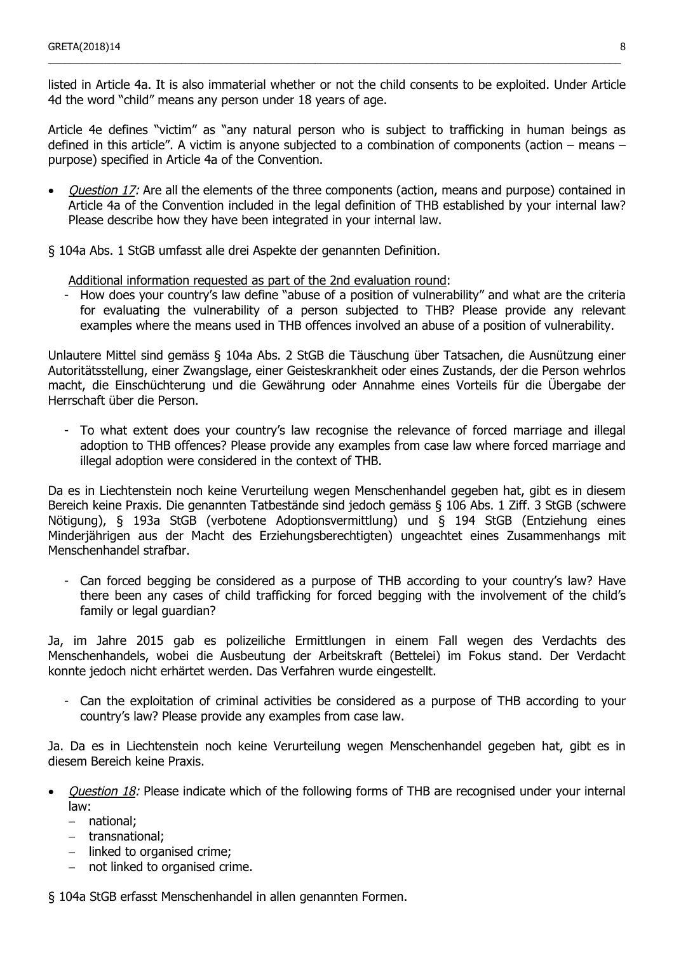listed in Article 4a. It is also immaterial whether or not the child consents to be exploited. Under Article 4d the word "child" means any person under 18 years of age.

\_\_\_\_\_\_\_\_\_\_\_\_\_\_\_\_\_\_\_\_\_\_\_\_\_\_\_\_\_\_\_\_\_\_\_\_\_\_\_\_\_\_\_\_\_\_\_\_\_\_\_\_\_\_\_\_\_\_\_\_\_\_\_\_\_\_\_\_\_\_\_\_\_\_\_\_\_\_\_\_\_\_\_\_\_\_\_\_\_\_\_\_\_\_\_\_\_\_\_\_\_\_\_

Article 4e defines "victim" as "any natural person who is subject to trafficking in human beings as defined in this article". A victim is anyone subjected to a combination of components (action – means – purpose) specified in Article 4a of the Convention.

- *Question 17:* Are all the elements of the three components (action, means and purpose) contained in Article 4a of the Convention included in the legal definition of THB established by your internal law? Please describe how they have been integrated in your internal law.
- § 104a Abs. 1 StGB umfasst alle drei Aspekte der genannten Definition.

Additional information requested as part of the 2nd evaluation round:

- How does your country's law define "abuse of a position of vulnerability" and what are the criteria for evaluating the vulnerability of a person subjected to THB? Please provide any relevant examples where the means used in THB offences involved an abuse of a position of vulnerability.

Unlautere Mittel sind gemäss § 104a Abs. 2 StGB die Täuschung über Tatsachen, die Ausnützung einer Autoritätsstellung, einer Zwangslage, einer Geisteskrankheit oder eines Zustands, der die Person wehrlos macht, die Einschüchterung und die Gewährung oder Annahme eines Vorteils für die Übergabe der Herrschaft über die Person.

To what extent does your country's law recognise the relevance of forced marriage and illegal adoption to THB offences? Please provide any examples from case law where forced marriage and illegal adoption were considered in the context of THB.

Da es in Liechtenstein noch keine Verurteilung wegen Menschenhandel gegeben hat, gibt es in diesem Bereich keine Praxis. Die genannten Tatbestände sind jedoch gemäss § 106 Abs. 1 Ziff. 3 StGB (schwere Nötigung), § 193a StGB (verbotene Adoptionsvermittlung) und § 194 StGB (Entziehung eines Minderjährigen aus der Macht des Erziehungsberechtigten) ungeachtet eines Zusammenhangs mit Menschenhandel strafbar.

Can forced begging be considered as a purpose of THB according to your country's law? Have there been any cases of child trafficking for forced begging with the involvement of the child's family or legal guardian?

Ja, im Jahre 2015 gab es polizeiliche Ermittlungen in einem Fall wegen des Verdachts des Menschenhandels, wobei die Ausbeutung der Arbeitskraft (Bettelei) im Fokus stand. Der Verdacht konnte jedoch nicht erhärtet werden. Das Verfahren wurde eingestellt.

- Can the exploitation of criminal activities be considered as a purpose of THB according to your country's law? Please provide any examples from case law.

Ja. Da es in Liechtenstein noch keine Verurteilung wegen Menschenhandel gegeben hat, gibt es in diesem Bereich keine Praxis.

- *Question 18:* Please indicate which of the following forms of THB are recognised under your internal law:
	- − national;
	- − transnational;
	- − linked to organised crime;
	- − not linked to organised crime.

§ 104a StGB erfasst Menschenhandel in allen genannten Formen.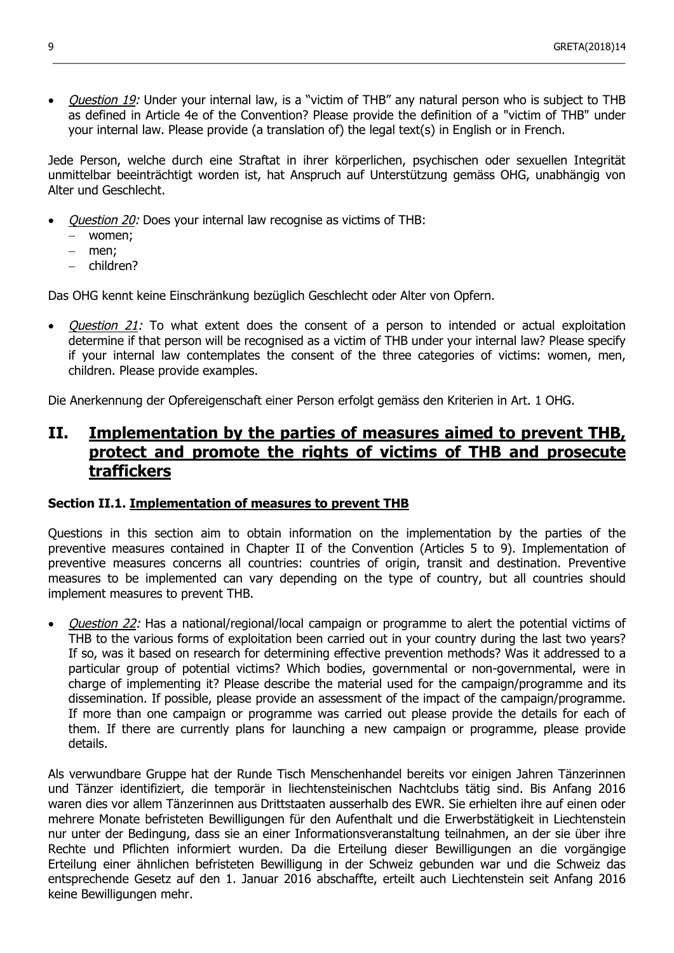• Question 19: Under your internal law, is a "victim of THB" any natural person who is subject to THB as defined in Article 4e of the Convention? Please provide the definition of a "victim of THB" under your internal law. Please provide (a translation of) the legal text(s) in English or in French.

 $\_$  ,  $\_$  ,  $\_$  ,  $\_$  ,  $\_$  ,  $\_$  ,  $\_$  ,  $\_$  ,  $\_$  ,  $\_$  ,  $\_$  ,  $\_$  ,  $\_$  ,  $\_$  ,  $\_$  ,  $\_$  ,  $\_$  ,  $\_$  ,  $\_$  ,  $\_$  ,  $\_$  ,  $\_$  ,  $\_$  ,  $\_$  ,  $\_$  ,  $\_$  ,  $\_$  ,  $\_$  ,  $\_$  ,  $\_$  ,  $\_$  ,  $\_$  ,  $\_$  ,  $\_$  ,  $\_$  ,  $\_$  ,  $\_$  ,

Jede Person, welche durch eine Straftat in ihrer körperlichen, psychischen oder sexuellen Integrität unmittelbar beeinträchtigt worden ist, hat Anspruch auf Unterstützung gemäss OHG, unabhängig von Alter und Geschlecht.

- Question 20: Does your internal law recognise as victims of THB:
	- − women;
	- men:
	- − children?

Das OHG kennt keine Einschränkung bezüglich Geschlecht oder Alter von Opfern.

Question 21: To what extent does the consent of a person to intended or actual exploitation determine if that person will be recognised as a victim of THB under your internal law? Please specify if your internal law contemplates the consent of the three categories of victims: women, men, children. Please provide examples.

Die Anerkennung der Opfereigenschaft einer Person erfolgt gemäss den Kriterien in Art. 1 OHG.

## **II. Implementation by the parties of measures aimed to prevent THB, protect and promote the rights of victims of THB and prosecute traffickers**

## **Section II.1. Implementation of measures to prevent THB**

Questions in this section aim to obtain information on the implementation by the parties of the preventive measures contained in Chapter II of the Convention (Articles 5 to 9). Implementation of preventive measures concerns all countries: countries of origin, transit and destination. Preventive measures to be implemented can vary depending on the type of country, but all countries should implement measures to prevent THB.

Question 22: Has a national/regional/local campaign or programme to alert the potential victims of THB to the various forms of exploitation been carried out in your country during the last two years? If so, was it based on research for determining effective prevention methods? Was it addressed to a particular group of potential victims? Which bodies, governmental or non-governmental, were in charge of implementing it? Please describe the material used for the campaign/programme and its dissemination. If possible, please provide an assessment of the impact of the campaign/programme. If more than one campaign or programme was carried out please provide the details for each of them. If there are currently plans for launching a new campaign or programme, please provide details.

Als verwundbare Gruppe hat der Runde Tisch Menschenhandel bereits vor einigen Jahren Tänzerinnen und Tänzer identifiziert, die temporär in liechtensteinischen Nachtclubs tätig sind. Bis Anfang 2016 waren dies vor allem Tänzerinnen aus Drittstaaten ausserhalb des EWR. Sie erhielten ihre auf einen oder mehrere Monate befristeten Bewilligungen für den Aufenthalt und die Erwerbstätigkeit in Liechtenstein nur unter der Bedingung, dass sie an einer Informationsveranstaltung teilnahmen, an der sie über ihre Rechte und Pflichten informiert wurden. Da die Erteilung dieser Bewilligungen an die vorgängige Erteilung einer ähnlichen befristeten Bewilligung in der Schweiz gebunden war und die Schweiz das entsprechende Gesetz auf den 1. Januar 2016 abschaffte, erteilt auch Liechtenstein seit Anfang 2016 keine Bewilligungen mehr.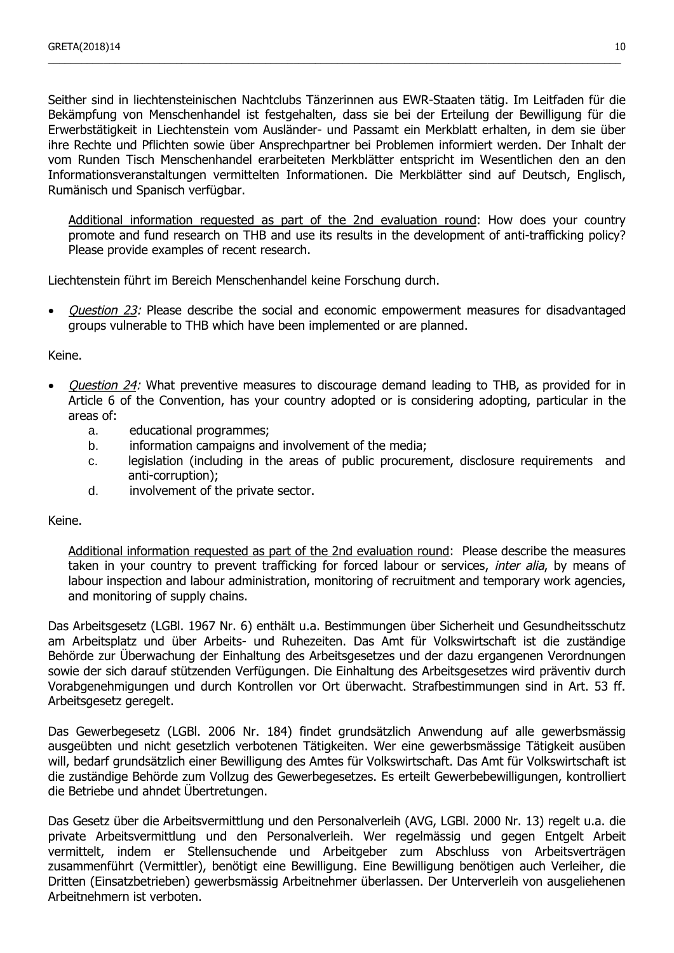Seither sind in liechtensteinischen Nachtclubs Tänzerinnen aus EWR-Staaten tätig. Im Leitfaden für die Bekämpfung von Menschenhandel ist festgehalten, dass sie bei der Erteilung der Bewilligung für die Erwerbstätigkeit in Liechtenstein vom Ausländer- und Passamt ein Merkblatt erhalten, in dem sie über ihre Rechte und Pflichten sowie über Ansprechpartner bei Problemen informiert werden. Der Inhalt der vom Runden Tisch Menschenhandel erarbeiteten Merkblätter entspricht im Wesentlichen den an den Informationsveranstaltungen vermittelten Informationen. Die Merkblätter sind auf Deutsch, Englisch, Rumänisch und Spanisch verfügbar.

\_\_\_\_\_\_\_\_\_\_\_\_\_\_\_\_\_\_\_\_\_\_\_\_\_\_\_\_\_\_\_\_\_\_\_\_\_\_\_\_\_\_\_\_\_\_\_\_\_\_\_\_\_\_\_\_\_\_\_\_\_\_\_\_\_\_\_\_\_\_\_\_\_\_\_\_\_\_\_\_\_\_\_\_\_\_\_\_\_\_\_\_\_\_\_\_\_\_\_\_\_\_\_

Additional information requested as part of the 2nd evaluation round: How does your country promote and fund research on THB and use its results in the development of anti-trafficking policy? Please provide examples of recent research.

Liechtenstein führt im Bereich Menschenhandel keine Forschung durch.

*Question 23:* Please describe the social and economic empowerment measures for disadvantaged groups vulnerable to THB which have been implemented or are planned.

Keine.

- *Question 24:* What preventive measures to discourage demand leading to THB, as provided for in Article 6 of the Convention, has your country adopted or is considering adopting, particular in the areas of:
	- a. educational programmes;
	- b. information campaigns and involvement of the media:
	- c. legislation (including in the areas of public procurement, disclosure requirements and anti-corruption);
	- d. involvement of the private sector.

Keine.

Additional information requested as part of the 2nd evaluation round: Please describe the measures taken in your country to prevent trafficking for forced labour or services, *inter alia*, by means of labour inspection and labour administration, monitoring of recruitment and temporary work agencies, and monitoring of supply chains.

Das Arbeitsgesetz (LGBl. 1967 Nr. 6) enthält u.a. Bestimmungen über Sicherheit und Gesundheitsschutz am Arbeitsplatz und über Arbeits- und Ruhezeiten. Das Amt für Volkswirtschaft ist die zuständige Behörde zur Überwachung der Einhaltung des Arbeitsgesetzes und der dazu ergangenen Verordnungen sowie der sich darauf stützenden Verfügungen. Die Einhaltung des Arbeitsgesetzes wird präventiv durch Vorabgenehmigungen und durch Kontrollen vor Ort überwacht. Strafbestimmungen sind in Art. 53 ff. Arbeitsgesetz geregelt.

Das Gewerbegesetz (LGBl. 2006 Nr. 184) findet grundsätzlich Anwendung auf alle gewerbsmässig ausgeübten und nicht gesetzlich verbotenen Tätigkeiten. Wer eine gewerbsmässige Tätigkeit ausüben will, bedarf grundsätzlich einer Bewilligung des Amtes für Volkswirtschaft. Das Amt für Volkswirtschaft ist die zuständige Behörde zum Vollzug des Gewerbegesetzes. Es erteilt Gewerbebewilligungen, kontrolliert die Betriebe und ahndet Übertretungen.

Das Gesetz über die Arbeitsvermittlung und den Personalverleih (AVG, LGBl. 2000 Nr. 13) regelt u.a. die private Arbeitsvermittlung und den Personalverleih. Wer regelmässig und gegen Entgelt Arbeit vermittelt, indem er Stellensuchende und Arbeitgeber zum Abschluss von Arbeitsverträgen zusammenführt (Vermittler), benötigt eine Bewilligung. Eine Bewilligung benötigen auch Verleiher, die Dritten (Einsatzbetrieben) gewerbsmässig Arbeitnehmer überlassen. Der Unterverleih von ausgeliehenen Arbeitnehmern ist verboten.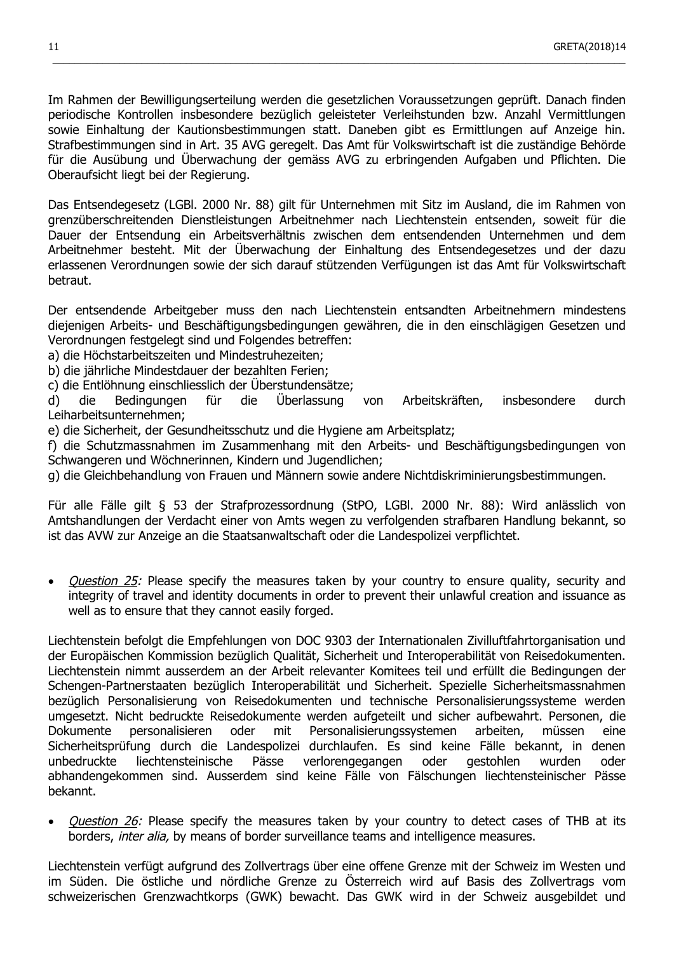Im Rahmen der Bewilligungserteilung werden die gesetzlichen Voraussetzungen geprüft. Danach finden periodische Kontrollen insbesondere bezüglich geleisteter Verleihstunden bzw. Anzahl Vermittlungen sowie Einhaltung der Kautionsbestimmungen statt. Daneben gibt es Ermittlungen auf Anzeige hin. Strafbestimmungen sind in Art. 35 AVG geregelt. Das Amt für Volkswirtschaft ist die zuständige Behörde für die Ausübung und Überwachung der gemäss AVG zu erbringenden Aufgaben und Pflichten. Die Oberaufsicht liegt bei der Regierung.

 $\_$  ,  $\_$  ,  $\_$  ,  $\_$  ,  $\_$  ,  $\_$  ,  $\_$  ,  $\_$  ,  $\_$  ,  $\_$  ,  $\_$  ,  $\_$  ,  $\_$  ,  $\_$  ,  $\_$  ,  $\_$  ,  $\_$  ,  $\_$  ,  $\_$  ,  $\_$  ,  $\_$  ,  $\_$  ,  $\_$  ,  $\_$  ,  $\_$  ,  $\_$  ,  $\_$  ,  $\_$  ,  $\_$  ,  $\_$  ,  $\_$  ,  $\_$  ,  $\_$  ,  $\_$  ,  $\_$  ,  $\_$  ,  $\_$  ,

Das Entsendegesetz (LGBl. 2000 Nr. 88) gilt für Unternehmen mit Sitz im Ausland, die im Rahmen von grenzüberschreitenden Dienstleistungen Arbeitnehmer nach Liechtenstein entsenden, soweit für die Dauer der Entsendung ein Arbeitsverhältnis zwischen dem entsendenden Unternehmen und dem Arbeitnehmer besteht. Mit der Überwachung der Einhaltung des Entsendegesetzes und der dazu erlassenen Verordnungen sowie der sich darauf stützenden Verfügungen ist das Amt für Volkswirtschaft betraut.

Der entsendende Arbeitgeber muss den nach Liechtenstein entsandten Arbeitnehmern mindestens diejenigen Arbeits- und Beschäftigungsbedingungen gewähren, die in den einschlägigen Gesetzen und Verordnungen festgelegt sind und Folgendes betreffen:

- a) die Höchstarbeitszeiten und Mindestruhezeiten;
- b) die jährliche Mindestdauer der bezahlten Ferien;
- c) die Entlöhnung einschliesslich der Überstundensätze;

d) die Bedingungen für die Überlassung von Arbeitskräften, insbesondere durch Leiharbeitsunternehmen;

e) die Sicherheit, der Gesundheitsschutz und die Hygiene am Arbeitsplatz;

f) die Schutzmassnahmen im Zusammenhang mit den Arbeits- und Beschäftigungsbedingungen von Schwangeren und Wöchnerinnen, Kindern und Jugendlichen;

g) die Gleichbehandlung von Frauen und Männern sowie andere Nichtdiskriminierungsbestimmungen.

Für alle Fälle gilt § 53 der Strafprozessordnung (StPO, LGBl. 2000 Nr. 88): Wird anlässlich von Amtshandlungen der Verdacht einer von Amts wegen zu verfolgenden strafbaren Handlung bekannt, so ist das AVW zur Anzeige an die Staatsanwaltschaft oder die Landespolizei verpflichtet.

*Question 25:* Please specify the measures taken by your country to ensure quality, security and integrity of travel and identity documents in order to prevent their unlawful creation and issuance as well as to ensure that they cannot easily forged.

Liechtenstein befolgt die Empfehlungen von DOC 9303 der Internationalen Zivilluftfahrtorganisation und der Europäischen Kommission bezüglich Qualität, Sicherheit und Interoperabilität von Reisedokumenten. Liechtenstein nimmt ausserdem an der Arbeit relevanter Komitees teil und erfüllt die Bedingungen der Schengen-Partnerstaaten bezüglich Interoperabilität und Sicherheit. Spezielle Sicherheitsmassnahmen bezüglich Personalisierung von Reisedokumenten und technische Personalisierungssysteme werden umgesetzt. Nicht bedruckte Reisedokumente werden aufgeteilt und sicher aufbewahrt. Personen, die Dokumente personalisieren oder mit Personalisierungssystemen arbeiten, müssen eine Sicherheitsprüfung durch die Landespolizei durchlaufen. Es sind keine Fälle bekannt, in denen unbedruckte liechtensteinische Pässe verlorengegangen oder gestohlen wurden oder abhandengekommen sind. Ausserdem sind keine Fälle von Fälschungen liechtensteinischer Pässe bekannt.

Question 26: Please specify the measures taken by your country to detect cases of THB at its borders, inter alia, by means of border surveillance teams and intelligence measures.

Liechtenstein verfügt aufgrund des Zollvertrags über eine offene Grenze mit der Schweiz im Westen und im Süden. Die östliche und nördliche Grenze zu Österreich wird auf Basis des Zollvertrags vom schweizerischen Grenzwachtkorps (GWK) bewacht. Das GWK wird in der Schweiz ausgebildet und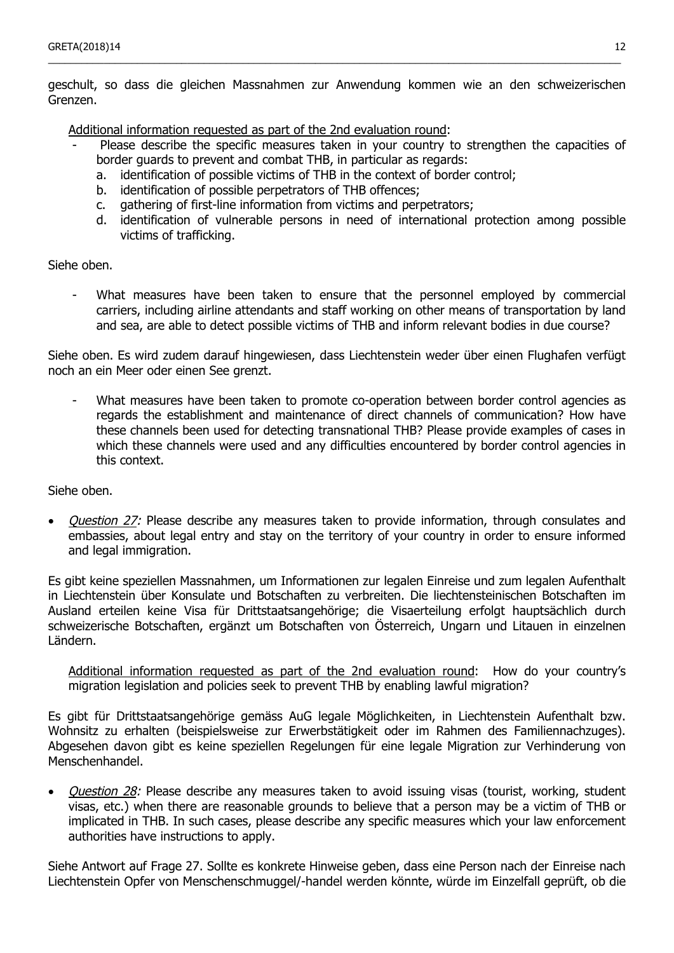geschult, so dass die gleichen Massnahmen zur Anwendung kommen wie an den schweizerischen Grenzen.

\_\_\_\_\_\_\_\_\_\_\_\_\_\_\_\_\_\_\_\_\_\_\_\_\_\_\_\_\_\_\_\_\_\_\_\_\_\_\_\_\_\_\_\_\_\_\_\_\_\_\_\_\_\_\_\_\_\_\_\_\_\_\_\_\_\_\_\_\_\_\_\_\_\_\_\_\_\_\_\_\_\_\_\_\_\_\_\_\_\_\_\_\_\_\_\_\_\_\_\_\_\_\_

Additional information requested as part of the 2nd evaluation round:

- Please describe the specific measures taken in your country to strengthen the capacities of border guards to prevent and combat THB, in particular as regards:
	- a. identification of possible victims of THB in the context of border control;
	- b. identification of possible perpetrators of THB offences;
	- c. gathering of first-line information from victims and perpetrators;
	- d. identification of vulnerable persons in need of international protection among possible victims of trafficking.

#### Siehe oben.

- What measures have been taken to ensure that the personnel employed by commercial carriers, including airline attendants and staff working on other means of transportation by land and sea, are able to detect possible victims of THB and inform relevant bodies in due course?

Siehe oben. Es wird zudem darauf hingewiesen, dass Liechtenstein weder über einen Flughafen verfügt noch an ein Meer oder einen See grenzt.

- What measures have been taken to promote co-operation between border control agencies as regards the establishment and maintenance of direct channels of communication? How have these channels been used for detecting transnational THB? Please provide examples of cases in which these channels were used and any difficulties encountered by border control agencies in this context.

Siehe oben.

Question 27: Please describe any measures taken to provide information, through consulates and embassies, about legal entry and stay on the territory of your country in order to ensure informed and legal immigration.

Es gibt keine speziellen Massnahmen, um Informationen zur legalen Einreise und zum legalen Aufenthalt in Liechtenstein über Konsulate und Botschaften zu verbreiten. Die liechtensteinischen Botschaften im Ausland erteilen keine Visa für Drittstaatsangehörige; die Visaerteilung erfolgt hauptsächlich durch schweizerische Botschaften, ergänzt um Botschaften von Österreich, Ungarn und Litauen in einzelnen Ländern.

Additional information requested as part of the 2nd evaluation round: How do your country's migration legislation and policies seek to prevent THB by enabling lawful migration?

Es gibt für Drittstaatsangehörige gemäss AuG legale Möglichkeiten, in Liechtenstein Aufenthalt bzw. Wohnsitz zu erhalten (beispielsweise zur Erwerbstätigkeit oder im Rahmen des Familiennachzuges). Abgesehen davon gibt es keine speziellen Regelungen für eine legale Migration zur Verhinderung von Menschenhandel.

• *Question 28:* Please describe any measures taken to avoid issuing visas (tourist, working, student visas, etc.) when there are reasonable grounds to believe that a person may be a victim of THB or implicated in THB. In such cases, please describe any specific measures which your law enforcement authorities have instructions to apply.

Siehe Antwort auf Frage 27. Sollte es konkrete Hinweise geben, dass eine Person nach der Einreise nach Liechtenstein Opfer von Menschenschmuggel/-handel werden könnte, würde im Einzelfall geprüft, ob die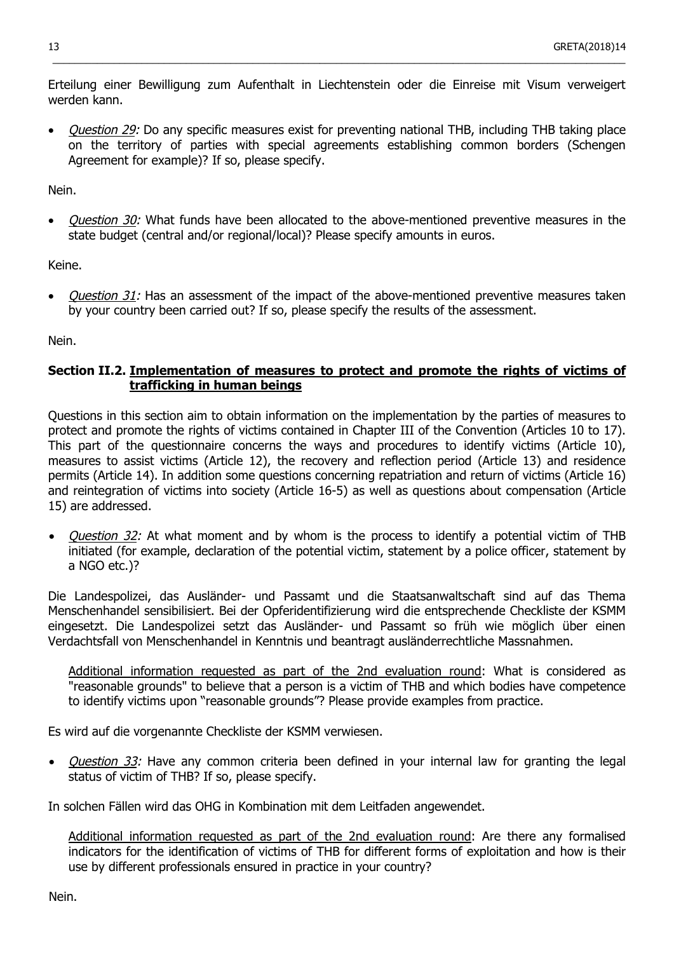Erteilung einer Bewilligung zum Aufenthalt in Liechtenstein oder die Einreise mit Visum verweigert werden kann.

 $\_$  ,  $\_$  ,  $\_$  ,  $\_$  ,  $\_$  ,  $\_$  ,  $\_$  ,  $\_$  ,  $\_$  ,  $\_$  ,  $\_$  ,  $\_$  ,  $\_$  ,  $\_$  ,  $\_$  ,  $\_$  ,  $\_$  ,  $\_$  ,  $\_$  ,  $\_$  ,  $\_$  ,  $\_$  ,  $\_$  ,  $\_$  ,  $\_$  ,  $\_$  ,  $\_$  ,  $\_$  ,  $\_$  ,  $\_$  ,  $\_$  ,  $\_$  ,  $\_$  ,  $\_$  ,  $\_$  ,  $\_$  ,  $\_$  ,

• Question 29: Do any specific measures exist for preventing national THB, including THB taking place on the territory of parties with special agreements establishing common borders (Schengen Agreement for example)? If so, please specify.

Nein.

Question 30: What funds have been allocated to the above-mentioned preventive measures in the state budget (central and/or regional/local)? Please specify amounts in euros.

Keine.

Question 31: Has an assessment of the impact of the above-mentioned preventive measures taken by your country been carried out? If so, please specify the results of the assessment.

Nein.

## **Section II.2. Implementation of measures to protect and promote the rights of victims of trafficking in human beings**

Questions in this section aim to obtain information on the implementation by the parties of measures to protect and promote the rights of victims contained in Chapter III of the Convention (Articles 10 to 17). This part of the questionnaire concerns the ways and procedures to identify victims (Article 10), measures to assist victims (Article 12), the recovery and reflection period (Article 13) and residence permits (Article 14). In addition some questions concerning repatriation and return of victims (Article 16) and reintegration of victims into society (Article 16-5) as well as questions about compensation (Article 15) are addressed.

Question 32: At what moment and by whom is the process to identify a potential victim of THB initiated (for example, declaration of the potential victim, statement by a police officer, statement by a NGO etc.)?

Die Landespolizei, das Ausländer- und Passamt und die Staatsanwaltschaft sind auf das Thema Menschenhandel sensibilisiert. Bei der Opferidentifizierung wird die entsprechende Checkliste der KSMM eingesetzt. Die Landespolizei setzt das Ausländer- und Passamt so früh wie möglich über einen Verdachtsfall von Menschenhandel in Kenntnis und beantragt ausländerrechtliche Massnahmen.

Additional information requested as part of the 2nd evaluation round: What is considered as "reasonable grounds" to believe that a person is a victim of THB and which bodies have competence to identify victims upon "reasonable grounds"? Please provide examples from practice.

Es wird auf die vorgenannte Checkliste der KSMM verwiesen.

Question 33: Have any common criteria been defined in your internal law for granting the legal status of victim of THB? If so, please specify.

In solchen Fällen wird das OHG in Kombination mit dem Leitfaden angewendet.

Additional information requested as part of the 2nd evaluation round: Are there any formalised indicators for the identification of victims of THB for different forms of exploitation and how is their use by different professionals ensured in practice in your country?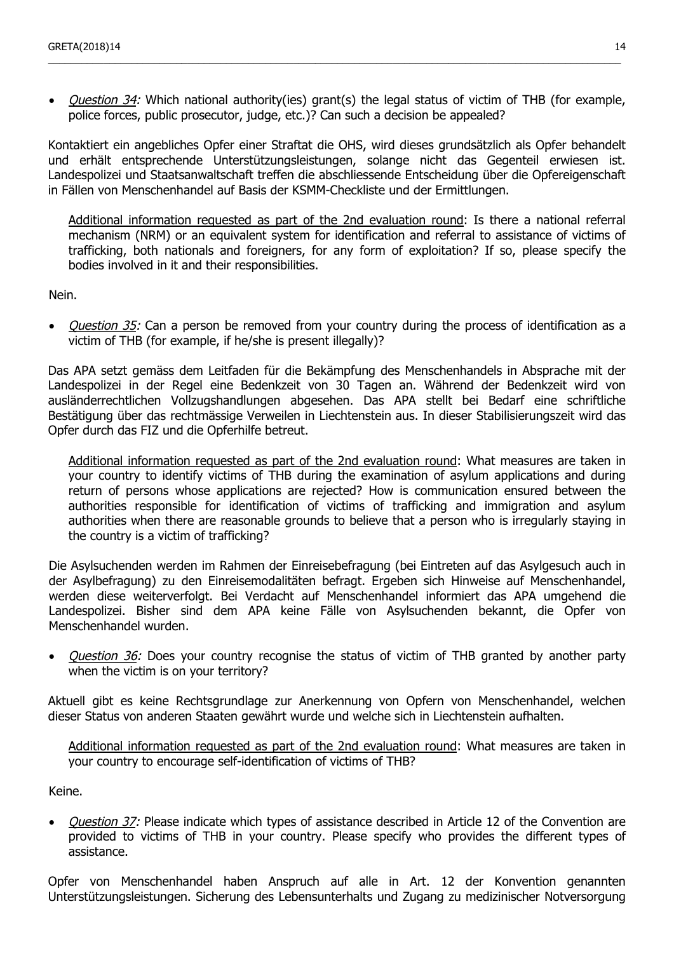• Question 34: Which national authority(ies) grant(s) the legal status of victim of THB (for example, police forces, public prosecutor, judge, etc.)? Can such a decision be appealed?

\_\_\_\_\_\_\_\_\_\_\_\_\_\_\_\_\_\_\_\_\_\_\_\_\_\_\_\_\_\_\_\_\_\_\_\_\_\_\_\_\_\_\_\_\_\_\_\_\_\_\_\_\_\_\_\_\_\_\_\_\_\_\_\_\_\_\_\_\_\_\_\_\_\_\_\_\_\_\_\_\_\_\_\_\_\_\_\_\_\_\_\_\_\_\_\_\_\_\_\_\_\_\_

Kontaktiert ein angebliches Opfer einer Straftat die OHS, wird dieses grundsätzlich als Opfer behandelt und erhält entsprechende Unterstützungsleistungen, solange nicht das Gegenteil erwiesen ist. Landespolizei und Staatsanwaltschaft treffen die abschliessende Entscheidung über die Opfereigenschaft in Fällen von Menschenhandel auf Basis der KSMM-Checkliste und der Ermittlungen.

Additional information requested as part of the 2nd evaluation round: Is there a national referral mechanism (NRM) or an equivalent system for identification and referral to assistance of victims of trafficking, both nationals and foreigners, for any form of exploitation? If so, please specify the bodies involved in it and their responsibilities.

Nein.

• *Question 35:* Can a person be removed from your country during the process of identification as a victim of THB (for example, if he/she is present illegally)?

Das APA setzt gemäss dem Leitfaden für die Bekämpfung des Menschenhandels in Absprache mit der Landespolizei in der Regel eine Bedenkzeit von 30 Tagen an. Während der Bedenkzeit wird von ausländerrechtlichen Vollzugshandlungen abgesehen. Das APA stellt bei Bedarf eine schriftliche Bestätigung über das rechtmässige Verweilen in Liechtenstein aus. In dieser Stabilisierungszeit wird das Opfer durch das FIZ und die Opferhilfe betreut.

Additional information requested as part of the 2nd evaluation round: What measures are taken in your country to identify victims of THB during the examination of asylum applications and during return of persons whose applications are rejected? How is communication ensured between the authorities responsible for identification of victims of trafficking and immigration and asylum authorities when there are reasonable grounds to believe that a person who is irregularly staying in the country is a victim of trafficking?

Die Asylsuchenden werden im Rahmen der Einreisebefragung (bei Eintreten auf das Asylgesuch auch in der Asylbefragung) zu den Einreisemodalitäten befragt. Ergeben sich Hinweise auf Menschenhandel, werden diese weiterverfolgt. Bei Verdacht auf Menschenhandel informiert das APA umgehend die Landespolizei. Bisher sind dem APA keine Fälle von Asylsuchenden bekannt, die Opfer von Menschenhandel wurden.

Question 36: Does your country recognise the status of victim of THB granted by another party when the victim is on your territory?

Aktuell gibt es keine Rechtsgrundlage zur Anerkennung von Opfern von Menschenhandel, welchen dieser Status von anderen Staaten gewährt wurde und welche sich in Liechtenstein aufhalten.

Additional information requested as part of the 2nd evaluation round: What measures are taken in your country to encourage self-identification of victims of THB?

Keine.

• *Question 37:* Please indicate which types of assistance described in Article 12 of the Convention are provided to victims of THB in your country. Please specify who provides the different types of assistance.

Opfer von Menschenhandel haben Anspruch auf alle in Art. 12 der Konvention genannten Unterstützungsleistungen. Sicherung des Lebensunterhalts und Zugang zu medizinischer Notversorgung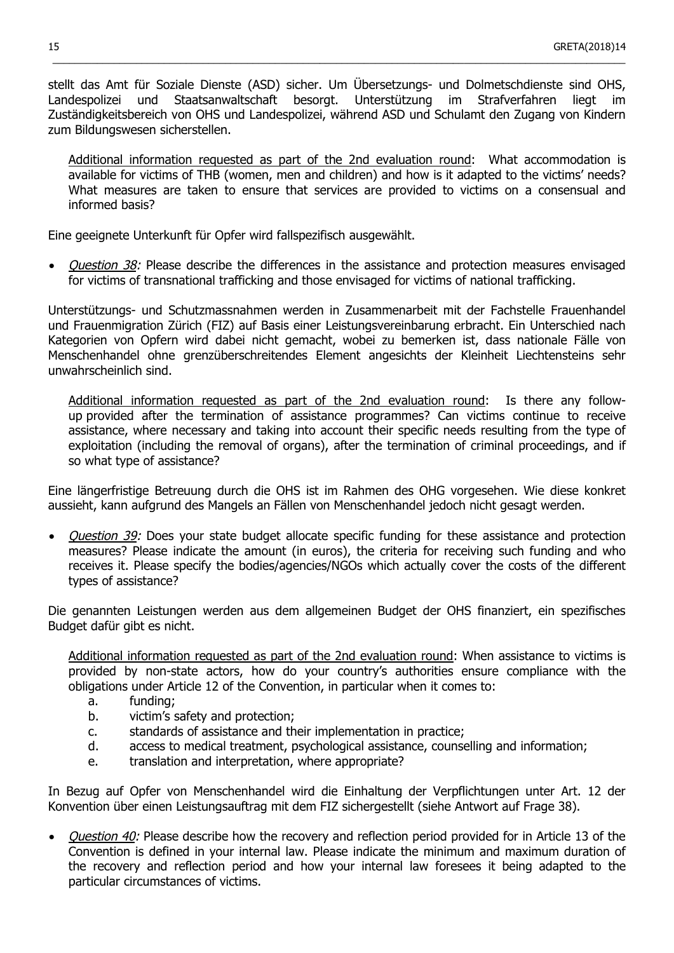stellt das Amt für Soziale Dienste (ASD) sicher. Um Übersetzungs- und Dolmetschdienste sind OHS, Landespolizei und Staatsanwaltschaft besorgt. Unterstützung im Strafverfahren liegt im Zuständigkeitsbereich von OHS und Landespolizei, während ASD und Schulamt den Zugang von Kindern zum Bildungswesen sicherstellen.

 $\_$  ,  $\_$  ,  $\_$  ,  $\_$  ,  $\_$  ,  $\_$  ,  $\_$  ,  $\_$  ,  $\_$  ,  $\_$  ,  $\_$  ,  $\_$  ,  $\_$  ,  $\_$  ,  $\_$  ,  $\_$  ,  $\_$  ,  $\_$  ,  $\_$  ,  $\_$  ,  $\_$  ,  $\_$  ,  $\_$  ,  $\_$  ,  $\_$  ,  $\_$  ,  $\_$  ,  $\_$  ,  $\_$  ,  $\_$  ,  $\_$  ,  $\_$  ,  $\_$  ,  $\_$  ,  $\_$  ,  $\_$  ,  $\_$  ,

Additional information requested as part of the 2nd evaluation round: What accommodation is available for victims of THB (women, men and children) and how is it adapted to the victims' needs? What measures are taken to ensure that services are provided to victims on a consensual and informed basis?

Eine geeignete Unterkunft für Opfer wird fallspezifisch ausgewählt.

Question 38: Please describe the differences in the assistance and protection measures envisaged for victims of transnational trafficking and those envisaged for victims of national trafficking.

Unterstützungs- und Schutzmassnahmen werden in Zusammenarbeit mit der Fachstelle Frauenhandel und Frauenmigration Zürich (FIZ) auf Basis einer Leistungsvereinbarung erbracht. Ein Unterschied nach Kategorien von Opfern wird dabei nicht gemacht, wobei zu bemerken ist, dass nationale Fälle von Menschenhandel ohne grenzüberschreitendes Element angesichts der Kleinheit Liechtensteins sehr unwahrscheinlich sind.

Additional information requested as part of the 2nd evaluation round: Is there any followup provided after the termination of assistance programmes? Can victims continue to receive assistance, where necessary and taking into account their specific needs resulting from the type of exploitation (including the removal of organs), after the termination of criminal proceedings, and if so what type of assistance?

Eine längerfristige Betreuung durch die OHS ist im Rahmen des OHG vorgesehen. Wie diese konkret aussieht, kann aufgrund des Mangels an Fällen von Menschenhandel jedoch nicht gesagt werden.

• *Question 39:* Does your state budget allocate specific funding for these assistance and protection measures? Please indicate the amount (in euros), the criteria for receiving such funding and who receives it. Please specify the bodies/agencies/NGOs which actually cover the costs of the different types of assistance?

Die genannten Leistungen werden aus dem allgemeinen Budget der OHS finanziert, ein spezifisches Budget dafür gibt es nicht.

Additional information requested as part of the 2nd evaluation round: When assistance to victims is provided by non-state actors, how do your country's authorities ensure compliance with the obligations under Article 12 of the Convention, in particular when it comes to:

- a. funding;
- b. victim's safety and protection;
- c. standards of assistance and their implementation in practice;
- d. access to medical treatment, psychological assistance, counselling and information;
- e. translation and interpretation, where appropriate?

In Bezug auf Opfer von Menschenhandel wird die Einhaltung der Verpflichtungen unter Art. 12 der Konvention über einen Leistungsauftrag mit dem FIZ sichergestellt (siehe Antwort auf Frage 38).

• *Ouestion 40:* Please describe how the recovery and reflection period provided for in Article 13 of the Convention is defined in your internal law. Please indicate the minimum and maximum duration of the recovery and reflection period and how your internal law foresees it being adapted to the particular circumstances of victims.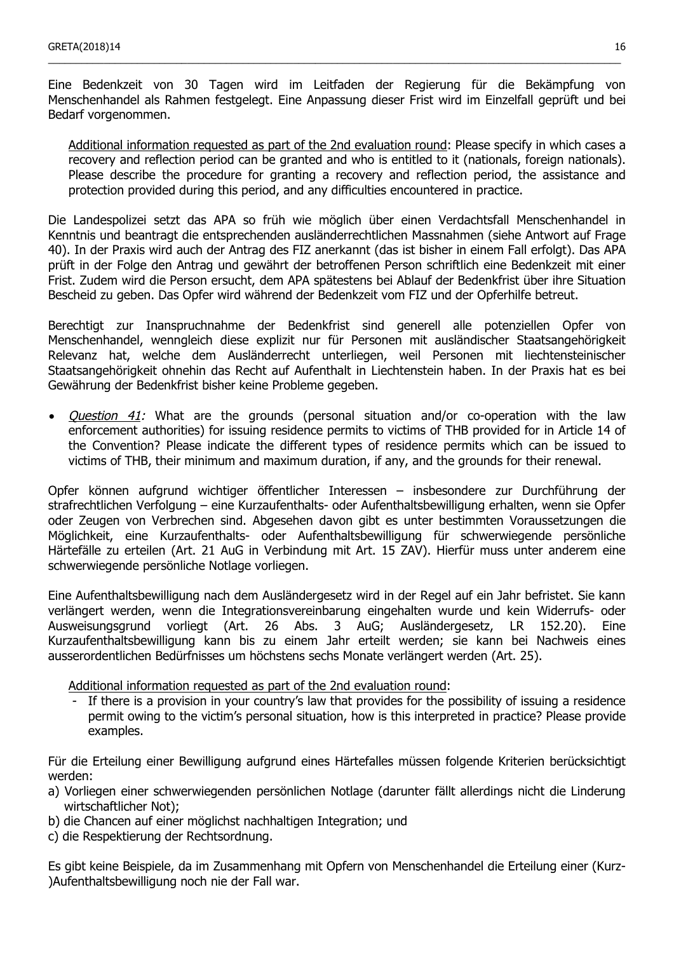Eine Bedenkzeit von 30 Tagen wird im Leitfaden der Regierung für die Bekämpfung von Menschenhandel als Rahmen festgelegt. Eine Anpassung dieser Frist wird im Einzelfall geprüft und bei Bedarf vorgenommen.

\_\_\_\_\_\_\_\_\_\_\_\_\_\_\_\_\_\_\_\_\_\_\_\_\_\_\_\_\_\_\_\_\_\_\_\_\_\_\_\_\_\_\_\_\_\_\_\_\_\_\_\_\_\_\_\_\_\_\_\_\_\_\_\_\_\_\_\_\_\_\_\_\_\_\_\_\_\_\_\_\_\_\_\_\_\_\_\_\_\_\_\_\_\_\_\_\_\_\_\_\_\_\_

Additional information requested as part of the 2nd evaluation round: Please specify in which cases a recovery and reflection period can be granted and who is entitled to it (nationals, foreign nationals). Please describe the procedure for granting a recovery and reflection period, the assistance and protection provided during this period, and any difficulties encountered in practice.

Die Landespolizei setzt das APA so früh wie möglich über einen Verdachtsfall Menschenhandel in Kenntnis und beantragt die entsprechenden ausländerrechtlichen Massnahmen (siehe Antwort auf Frage 40). In der Praxis wird auch der Antrag des FIZ anerkannt (das ist bisher in einem Fall erfolgt). Das APA prüft in der Folge den Antrag und gewährt der betroffenen Person schriftlich eine Bedenkzeit mit einer Frist. Zudem wird die Person ersucht, dem APA spätestens bei Ablauf der Bedenkfrist über ihre Situation Bescheid zu geben. Das Opfer wird während der Bedenkzeit vom FIZ und der Opferhilfe betreut.

Berechtigt zur Inanspruchnahme der Bedenkfrist sind generell alle potenziellen Opfer von Menschenhandel, wenngleich diese explizit nur für Personen mit ausländischer Staatsangehörigkeit Relevanz hat, welche dem Ausländerrecht unterliegen, weil Personen mit liechtensteinischer Staatsangehörigkeit ohnehin das Recht auf Aufenthalt in Liechtenstein haben. In der Praxis hat es bei Gewährung der Bedenkfrist bisher keine Probleme gegeben.

• *Question 41:* What are the grounds (personal situation and/or co-operation with the law enforcement authorities) for issuing residence permits to victims of THB provided for in Article 14 of the Convention? Please indicate the different types of residence permits which can be issued to victims of THB, their minimum and maximum duration, if any, and the grounds for their renewal.

Opfer können aufgrund wichtiger öffentlicher Interessen – insbesondere zur Durchführung der strafrechtlichen Verfolgung – eine Kurzaufenthalts- oder Aufenthaltsbewilligung erhalten, wenn sie Opfer oder Zeugen von Verbrechen sind. Abgesehen davon gibt es unter bestimmten Voraussetzungen die Möglichkeit, eine Kurzaufenthalts- oder Aufenthaltsbewilligung für schwerwiegende persönliche Härtefälle zu erteilen (Art. 21 AuG in Verbindung mit Art. 15 ZAV). Hierfür muss unter anderem eine schwerwiegende persönliche Notlage vorliegen.

Eine Aufenthaltsbewilligung nach dem Ausländergesetz wird in der Regel auf ein Jahr befristet. Sie kann verlängert werden, wenn die Integrationsvereinbarung eingehalten wurde und kein Widerrufs- oder Ausweisungsgrund vorliegt (Art. 26 Abs. 3 AuG; Ausländergesetz, LR 152.20). Eine Kurzaufenthaltsbewilligung kann bis zu einem Jahr erteilt werden; sie kann bei Nachweis eines ausserordentlichen Bedürfnisses um höchstens sechs Monate verlängert werden (Art. 25).

Additional information requested as part of the 2nd evaluation round:

If there is a provision in your country's law that provides for the possibility of issuing a residence permit owing to the victim's personal situation, how is this interpreted in practice? Please provide examples.

Für die Erteilung einer Bewilligung aufgrund eines Härtefalles müssen folgende Kriterien berücksichtigt werden:

- a) Vorliegen einer schwerwiegenden persönlichen Notlage (darunter fällt allerdings nicht die Linderung wirtschaftlicher Not);
- b) die Chancen auf einer möglichst nachhaltigen Integration; und
- c) die Respektierung der Rechtsordnung.

Es gibt keine Beispiele, da im Zusammenhang mit Opfern von Menschenhandel die Erteilung einer (Kurz- )Aufenthaltsbewilligung noch nie der Fall war.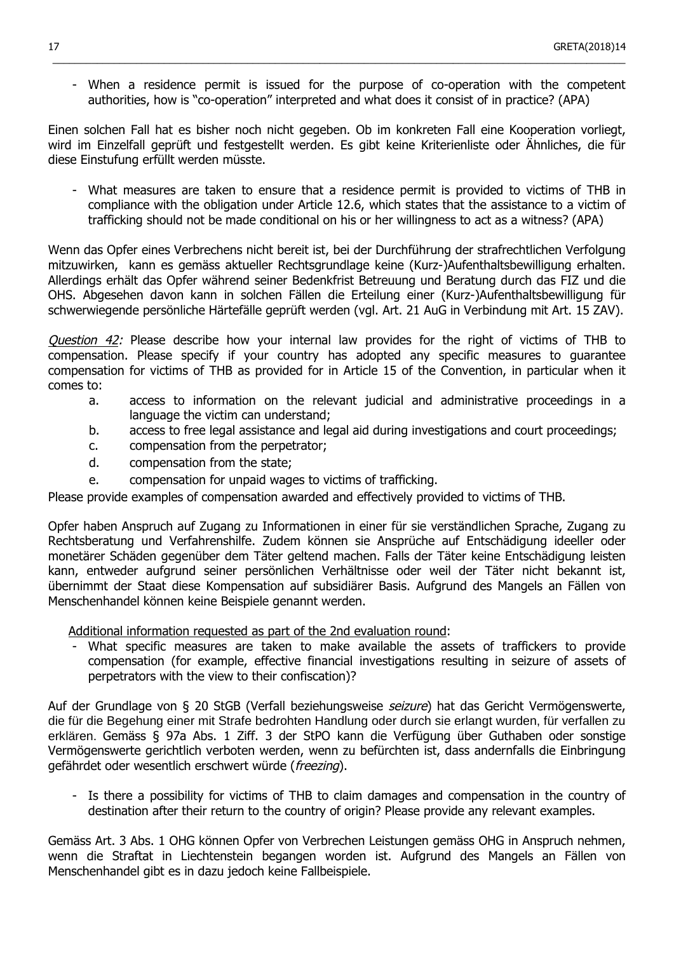- When a residence permit is issued for the purpose of co-operation with the competent authorities, how is "co-operation" interpreted and what does it consist of in practice? (APA)

 $\_$  ,  $\_$  ,  $\_$  ,  $\_$  ,  $\_$  ,  $\_$  ,  $\_$  ,  $\_$  ,  $\_$  ,  $\_$  ,  $\_$  ,  $\_$  ,  $\_$  ,  $\_$  ,  $\_$  ,  $\_$  ,  $\_$  ,  $\_$  ,  $\_$  ,  $\_$  ,  $\_$  ,  $\_$  ,  $\_$  ,  $\_$  ,  $\_$  ,  $\_$  ,  $\_$  ,  $\_$  ,  $\_$  ,  $\_$  ,  $\_$  ,  $\_$  ,  $\_$  ,  $\_$  ,  $\_$  ,  $\_$  ,  $\_$  ,

Einen solchen Fall hat es bisher noch nicht gegeben. Ob im konkreten Fall eine Kooperation vorliegt, wird im Einzelfall geprüft und festgestellt werden. Es gibt keine Kriterienliste oder Ähnliches, die für diese Einstufung erfüllt werden müsste.

What measures are taken to ensure that a residence permit is provided to victims of THB in compliance with the obligation under Article 12.6, which states that the assistance to a victim of trafficking should not be made conditional on his or her willingness to act as a witness? (APA)

Wenn das Opfer eines Verbrechens nicht bereit ist, bei der Durchführung der strafrechtlichen Verfolgung mitzuwirken, kann es gemäss aktueller Rechtsgrundlage keine (Kurz-)Aufenthaltsbewilligung erhalten. Allerdings erhält das Opfer während seiner Bedenkfrist Betreuung und Beratung durch das FIZ und die OHS. Abgesehen davon kann in solchen Fällen die Erteilung einer (Kurz-)Aufenthaltsbewilligung für schwerwiegende persönliche Härtefälle geprüft werden (vgl. Art. 21 AuG in Verbindung mit Art. 15 ZAV).

Question 42: Please describe how your internal law provides for the right of victims of THB to compensation. Please specify if your country has adopted any specific measures to guarantee compensation for victims of THB as provided for in Article 15 of the Convention, in particular when it comes to:

- a. access to information on the relevant judicial and administrative proceedings in a language the victim can understand;
- b. access to free legal assistance and legal aid during investigations and court proceedings;
- c. compensation from the perpetrator;
- d. compensation from the state;
- e. compensation for unpaid wages to victims of trafficking.

Please provide examples of compensation awarded and effectively provided to victims of THB.

Opfer haben Anspruch auf Zugang zu Informationen in einer für sie verständlichen Sprache, Zugang zu Rechtsberatung und Verfahrenshilfe. Zudem können sie Ansprüche auf Entschädigung ideeller oder monetärer Schäden gegenüber dem Täter geltend machen. Falls der Täter keine Entschädigung leisten kann, entweder aufgrund seiner persönlichen Verhältnisse oder weil der Täter nicht bekannt ist, übernimmt der Staat diese Kompensation auf subsidiärer Basis. Aufgrund des Mangels an Fällen von Menschenhandel können keine Beispiele genannt werden.

Additional information requested as part of the 2nd evaluation round:

What specific measures are taken to make available the assets of traffickers to provide compensation (for example, effective financial investigations resulting in seizure of assets of perpetrators with the view to their confiscation)?

Auf der Grundlage von § 20 StGB (Verfall beziehungsweise seizure) hat das Gericht Vermögenswerte, die für die Begehung einer mit Strafe bedrohten Handlung oder durch sie erlangt wurden, für verfallen zu erklären. Gemäss § 97a Abs. 1 Ziff. 3 der StPO kann die Verfügung über Guthaben oder sonstige Vermögenswerte gerichtlich verboten werden, wenn zu befürchten ist, dass andernfalls die Einbringung gefährdet oder wesentlich erschwert würde (freezing).

- Is there a possibility for victims of THB to claim damages and compensation in the country of destination after their return to the country of origin? Please provide any relevant examples.

Gemäss Art. 3 Abs. 1 OHG können Opfer von Verbrechen Leistungen gemäss OHG in Anspruch nehmen, wenn die Straftat in Liechtenstein begangen worden ist. Aufgrund des Mangels an Fällen von Menschenhandel gibt es in dazu jedoch keine Fallbeispiele.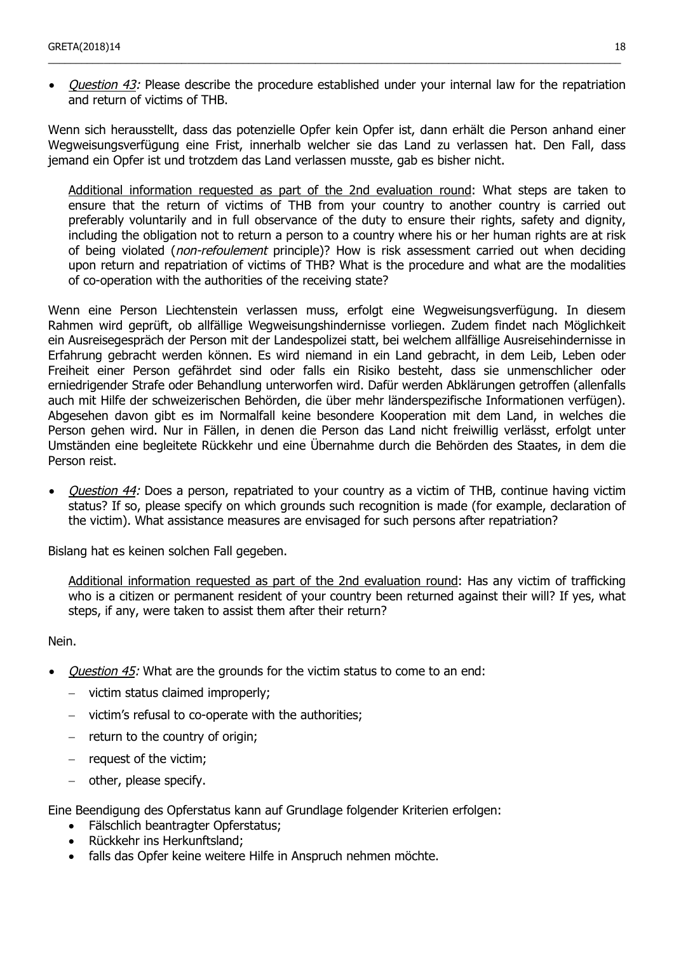• *Ouestion 43:* Please describe the procedure established under your internal law for the repatriation and return of victims of THB.

\_\_\_\_\_\_\_\_\_\_\_\_\_\_\_\_\_\_\_\_\_\_\_\_\_\_\_\_\_\_\_\_\_\_\_\_\_\_\_\_\_\_\_\_\_\_\_\_\_\_\_\_\_\_\_\_\_\_\_\_\_\_\_\_\_\_\_\_\_\_\_\_\_\_\_\_\_\_\_\_\_\_\_\_\_\_\_\_\_\_\_\_\_\_\_\_\_\_\_\_\_\_\_

Wenn sich herausstellt, dass das potenzielle Opfer kein Opfer ist, dann erhält die Person anhand einer Wegweisungsverfügung eine Frist, innerhalb welcher sie das Land zu verlassen hat. Den Fall, dass jemand ein Opfer ist und trotzdem das Land verlassen musste, gab es bisher nicht.

Additional information requested as part of the 2nd evaluation round: What steps are taken to ensure that the return of victims of THB from your country to another country is carried out preferably voluntarily and in full observance of the duty to ensure their rights, safety and dignity, including the obligation not to return a person to a country where his or her human rights are at risk of being violated (*non-refoulement* principle)? How is risk assessment carried out when deciding upon return and repatriation of victims of THB? What is the procedure and what are the modalities of co-operation with the authorities of the receiving state?

Wenn eine Person Liechtenstein verlassen muss, erfolgt eine Wegweisungsverfügung. In diesem Rahmen wird geprüft, ob allfällige Wegweisungshindernisse vorliegen. Zudem findet nach Möglichkeit ein Ausreisegespräch der Person mit der Landespolizei statt, bei welchem allfällige Ausreisehindernisse in Erfahrung gebracht werden können. Es wird niemand in ein Land gebracht, in dem Leib, Leben oder Freiheit einer Person gefährdet sind oder falls ein Risiko besteht, dass sie unmenschlicher oder erniedrigender Strafe oder Behandlung unterworfen wird. Dafür werden Abklärungen getroffen (allenfalls auch mit Hilfe der schweizerischen Behörden, die über mehr länderspezifische Informationen verfügen). Abgesehen davon gibt es im Normalfall keine besondere Kooperation mit dem Land, in welches die Person gehen wird. Nur in Fällen, in denen die Person das Land nicht freiwillig verlässt, erfolgt unter Umständen eine begleitete Rückkehr und eine Übernahme durch die Behörden des Staates, in dem die Person reist.

• *Question 44:* Does a person, repatriated to your country as a victim of THB, continue having victim status? If so, please specify on which grounds such recognition is made (for example, declaration of the victim). What assistance measures are envisaged for such persons after repatriation?

Bislang hat es keinen solchen Fall gegeben.

Additional information requested as part of the 2nd evaluation round: Has any victim of trafficking who is a citizen or permanent resident of your country been returned against their will? If yes, what steps, if any, were taken to assist them after their return?

Nein.

- Question 45: What are the grounds for the victim status to come to an end:
	- − victim status claimed improperly;
	- − victim's refusal to co-operate with the authorities;
	- − return to the country of origin;
	- request of the victim;
	- − other, please specify.

Eine Beendigung des Opferstatus kann auf Grundlage folgender Kriterien erfolgen:

- Fälschlich beantragter Opferstatus:
- Rückkehr ins Herkunftsland;
- falls das Opfer keine weitere Hilfe in Anspruch nehmen möchte.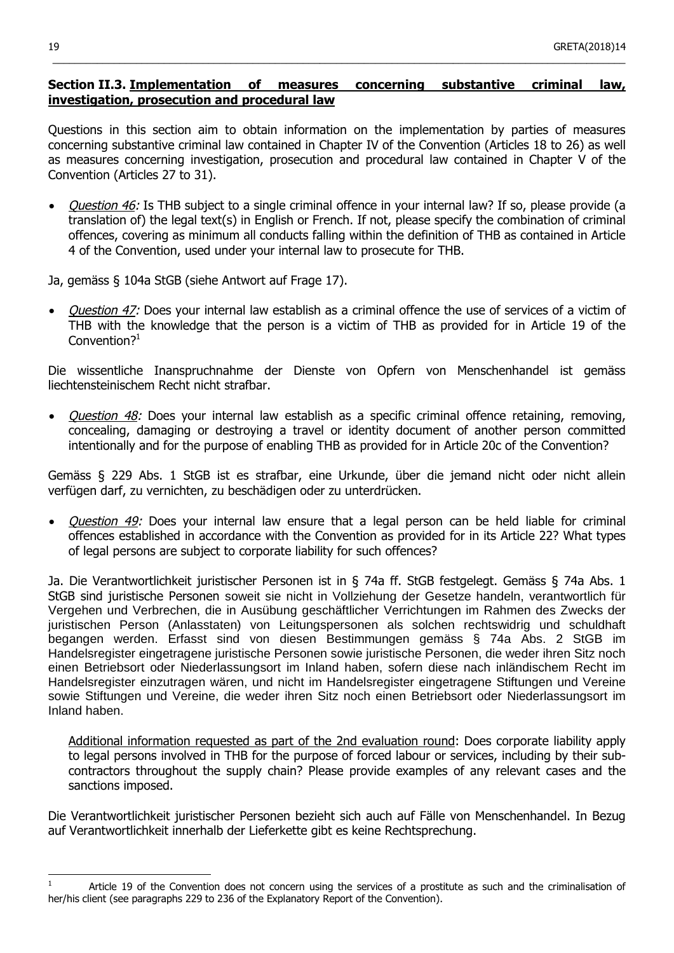## **Section II.3. Implementation of measures concerning substantive criminal law, investigation, prosecution and procedural law**

 $\_$  ,  $\_$  ,  $\_$  ,  $\_$  ,  $\_$  ,  $\_$  ,  $\_$  ,  $\_$  ,  $\_$  ,  $\_$  ,  $\_$  ,  $\_$  ,  $\_$  ,  $\_$  ,  $\_$  ,  $\_$  ,  $\_$  ,  $\_$  ,  $\_$  ,  $\_$  ,  $\_$  ,  $\_$  ,  $\_$  ,  $\_$  ,  $\_$  ,  $\_$  ,  $\_$  ,  $\_$  ,  $\_$  ,  $\_$  ,  $\_$  ,  $\_$  ,  $\_$  ,  $\_$  ,  $\_$  ,  $\_$  ,  $\_$  ,

Questions in this section aim to obtain information on the implementation by parties of measures concerning substantive criminal law contained in Chapter IV of the Convention (Articles 18 to 26) as well as measures concerning investigation, prosecution and procedural law contained in Chapter V of the Convention (Articles 27 to 31).

• *Question 46:* Is THB subject to a single criminal offence in your internal law? If so, please provide (a translation of) the legal text(s) in English or French. If not, please specify the combination of criminal offences, covering as minimum all conducts falling within the definition of THB as contained in Article 4 of the Convention, used under your internal law to prosecute for THB.

Ja, gemäss § 104a StGB (siehe Antwort auf Frage 17).

• Ouestion 47: Does your internal law establish as a criminal offence the use of services of a victim of THB with the knowledge that the person is a victim of THB as provided for in Article 19 of the Convention? $1$ 

Die wissentliche Inanspruchnahme der Dienste von Opfern von Menschenhandel ist gemäss liechtensteinischem Recht nicht strafbar.

• Question 48: Does your internal law establish as a specific criminal offence retaining, removing, concealing, damaging or destroying a travel or identity document of another person committed intentionally and for the purpose of enabling THB as provided for in Article 20c of the Convention?

Gemäss § 229 Abs. 1 StGB ist es strafbar, eine Urkunde, über die jemand nicht oder nicht allein verfügen darf, zu vernichten, zu beschädigen oder zu unterdrücken.

Question 49: Does your internal law ensure that a legal person can be held liable for criminal offences established in accordance with the Convention as provided for in its Article 22? What types of legal persons are subject to corporate liability for such offences?

Ja. Die Verantwortlichkeit juristischer Personen ist in § 74a ff. StGB festgelegt. Gemäss § 74a Abs. 1 StGB sind juristische Personen soweit sie nicht in Vollziehung der Gesetze handeln, verantwortlich für Vergehen und Verbrechen, die in Ausübung geschäftlicher Verrichtungen im Rahmen des Zwecks der juristischen Person (Anlasstaten) von Leitungspersonen als solchen rechtswidrig und schuldhaft begangen werden. Erfasst sind von diesen Bestimmungen gemäss § 74a Abs. 2 StGB im Handelsregister eingetragene juristische Personen sowie juristische Personen, die weder ihren Sitz noch einen Betriebsort oder Niederlassungsort im Inland haben, sofern diese nach inländischem Recht im Handelsregister einzutragen wären, und nicht im Handelsregister eingetragene Stiftungen und Vereine sowie Stiftungen und Vereine, die weder ihren Sitz noch einen Betriebsort oder Niederlassungsort im Inland haben.

Additional information requested as part of the 2nd evaluation round: Does corporate liability apply to legal persons involved in THB for the purpose of forced labour or services, including by their subcontractors throughout the supply chain? Please provide examples of any relevant cases and the sanctions imposed.

Die Verantwortlichkeit juristischer Personen bezieht sich auch auf Fälle von Menschenhandel. In Bezug auf Verantwortlichkeit innerhalb der Lieferkette gibt es keine Rechtsprechung.

Article 19 of the Convention does not concern using the services of a prostitute as such and the criminalisation of her/his client (see paragraphs 229 to 236 of the Explanatory Report of the Convention).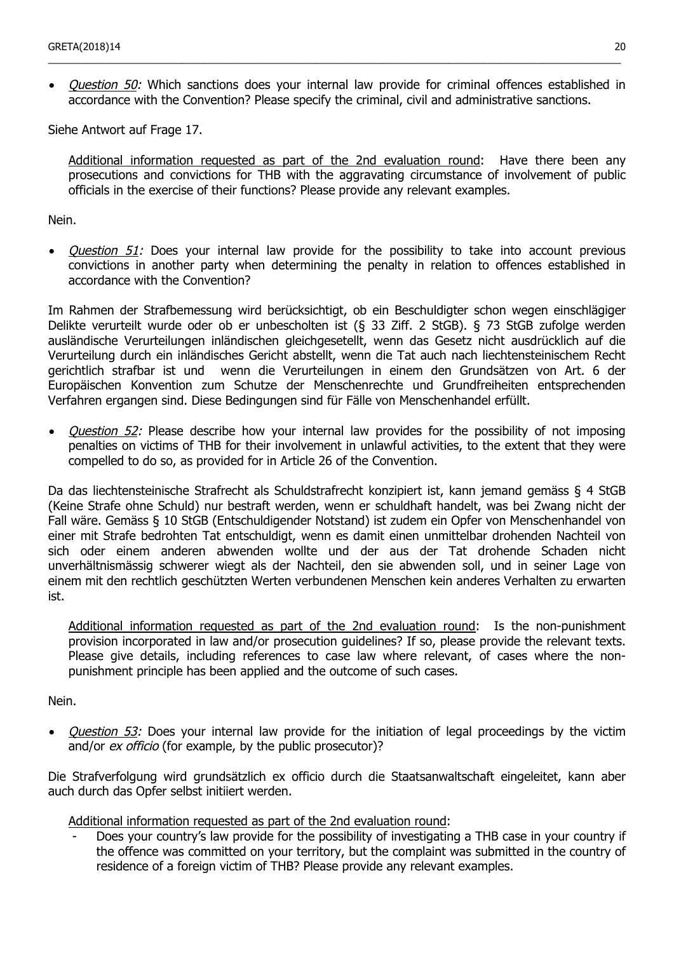*Question 50:* Which sanctions does your internal law provide for criminal offences established in accordance with the Convention? Please specify the criminal, civil and administrative sanctions.

\_\_\_\_\_\_\_\_\_\_\_\_\_\_\_\_\_\_\_\_\_\_\_\_\_\_\_\_\_\_\_\_\_\_\_\_\_\_\_\_\_\_\_\_\_\_\_\_\_\_\_\_\_\_\_\_\_\_\_\_\_\_\_\_\_\_\_\_\_\_\_\_\_\_\_\_\_\_\_\_\_\_\_\_\_\_\_\_\_\_\_\_\_\_\_\_\_\_\_\_\_\_\_

Siehe Antwort auf Frage 17.

Additional information requested as part of the 2nd evaluation round: Have there been any prosecutions and convictions for THB with the aggravating circumstance of involvement of public officials in the exercise of their functions? Please provide any relevant examples.

Nein.

• *Question 51:* Does your internal law provide for the possibility to take into account previous convictions in another party when determining the penalty in relation to offences established in accordance with the Convention?

Im Rahmen der Strafbemessung wird berücksichtigt, ob ein Beschuldigter schon wegen einschlägiger Delikte verurteilt wurde oder ob er unbescholten ist (§ 33 Ziff. 2 StGB). § 73 StGB zufolge werden ausländische Verurteilungen inländischen gleichgesetellt, wenn das Gesetz nicht ausdrücklich auf die Verurteilung durch ein inländisches Gericht abstellt, wenn die Tat auch nach liechtensteinischem Recht gerichtlich strafbar ist und wenn die Verurteilungen in einem den Grundsätzen von Art. 6 der Europäischen Konvention zum Schutze der Menschenrechte und Grundfreiheiten entsprechenden Verfahren ergangen sind. Diese Bedingungen sind für Fälle von Menschenhandel erfüllt.

• *Question 52:* Please describe how your internal law provides for the possibility of not imposing penalties on victims of THB for their involvement in unlawful activities, to the extent that they were compelled to do so, as provided for in Article 26 of the Convention.

Da das liechtensteinische Strafrecht als Schuldstrafrecht konzipiert ist, kann jemand gemäss § 4 StGB (Keine Strafe ohne Schuld) nur bestraft werden, wenn er schuldhaft handelt, was bei Zwang nicht der Fall wäre. Gemäss § 10 StGB (Entschuldigender Notstand) ist zudem ein Opfer von Menschenhandel von einer mit Strafe bedrohten Tat entschuldigt, wenn es damit einen unmittelbar drohenden Nachteil von sich oder einem anderen abwenden wollte und der aus der Tat drohende Schaden nicht unverhältnismässig schwerer wiegt als der Nachteil, den sie abwenden soll, und in seiner Lage von einem mit den rechtlich geschützten Werten verbundenen Menschen kein anderes Verhalten zu erwarten ist.

Additional information requested as part of the 2nd evaluation round: Is the non-punishment provision incorporated in law and/or prosecution guidelines? If so, please provide the relevant texts. Please give details, including references to case law where relevant, of cases where the nonpunishment principle has been applied and the outcome of such cases.

Nein.

• *Question 53:* Does your internal law provide for the initiation of legal proceedings by the victim and/or *ex officio* (for example, by the public prosecutor)?

Die Strafverfolgung wird grundsätzlich ex officio durch die Staatsanwaltschaft eingeleitet, kann aber auch durch das Opfer selbst initiiert werden.

Additional information requested as part of the 2nd evaluation round:

Does your country's law provide for the possibility of investigating a THB case in your country if the offence was committed on your territory, but the complaint was submitted in the country of residence of a foreign victim of THB? Please provide any relevant examples.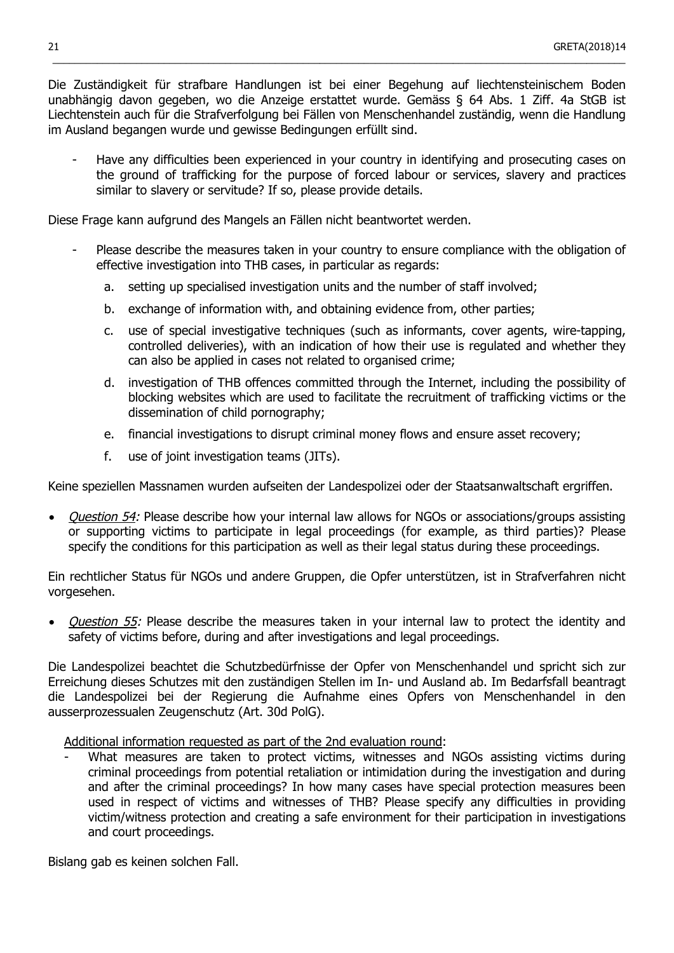Die Zuständigkeit für strafbare Handlungen ist bei einer Begehung auf liechtensteinischem Boden unabhängig davon gegeben, wo die Anzeige erstattet wurde. Gemäss § 64 Abs. 1 Ziff. 4a StGB ist Liechtenstein auch für die Strafverfolgung bei Fällen von Menschenhandel zuständig, wenn die Handlung im Ausland begangen wurde und gewisse Bedingungen erfüllt sind.

 $\_$  ,  $\_$  ,  $\_$  ,  $\_$  ,  $\_$  ,  $\_$  ,  $\_$  ,  $\_$  ,  $\_$  ,  $\_$  ,  $\_$  ,  $\_$  ,  $\_$  ,  $\_$  ,  $\_$  ,  $\_$  ,  $\_$  ,  $\_$  ,  $\_$  ,  $\_$  ,  $\_$  ,  $\_$  ,  $\_$  ,  $\_$  ,  $\_$  ,  $\_$  ,  $\_$  ,  $\_$  ,  $\_$  ,  $\_$  ,  $\_$  ,  $\_$  ,  $\_$  ,  $\_$  ,  $\_$  ,  $\_$  ,  $\_$  ,

- Have any difficulties been experienced in your country in identifying and prosecuting cases on the ground of trafficking for the purpose of forced labour or services, slavery and practices similar to slavery or servitude? If so, please provide details.

Diese Frage kann aufgrund des Mangels an Fällen nicht beantwortet werden.

- Please describe the measures taken in your country to ensure compliance with the obligation of effective investigation into THB cases, in particular as regards:
	- a. setting up specialised investigation units and the number of staff involved;
	- b. exchange of information with, and obtaining evidence from, other parties;
	- c. use of special investigative techniques (such as informants, cover agents, wire-tapping, controlled deliveries), with an indication of how their use is regulated and whether they can also be applied in cases not related to organised crime;
	- d. investigation of THB offences committed through the Internet, including the possibility of blocking websites which are used to facilitate the recruitment of trafficking victims or the dissemination of child pornography;
	- e. financial investigations to disrupt criminal money flows and ensure asset recovery;
	- f. use of joint investigation teams (JITs).

Keine speziellen Massnamen wurden aufseiten der Landespolizei oder der Staatsanwaltschaft ergriffen.

• *Ouestion 54:* Please describe how your internal law allows for NGOs or associations/groups assisting or supporting victims to participate in legal proceedings (for example, as third parties)? Please specify the conditions for this participation as well as their legal status during these proceedings.

Ein rechtlicher Status für NGOs und andere Gruppen, die Opfer unterstützen, ist in Strafverfahren nicht vorgesehen.

*Question 55:* Please describe the measures taken in your internal law to protect the identity and safety of victims before, during and after investigations and legal proceedings.

Die Landespolizei beachtet die Schutzbedürfnisse der Opfer von Menschenhandel und spricht sich zur Erreichung dieses Schutzes mit den zuständigen Stellen im In- und Ausland ab. Im Bedarfsfall beantragt die Landespolizei bei der Regierung die Aufnahme eines Opfers von Menschenhandel in den ausserprozessualen Zeugenschutz (Art. 30d PolG).

Additional information requested as part of the 2nd evaluation round:

What measures are taken to protect victims, witnesses and NGOs assisting victims during criminal proceedings from potential retaliation or intimidation during the investigation and during and after the criminal proceedings? In how many cases have special protection measures been used in respect of victims and witnesses of THB? Please specify any difficulties in providing victim/witness protection and creating a safe environment for their participation in investigations and court proceedings.

Bislang gab es keinen solchen Fall.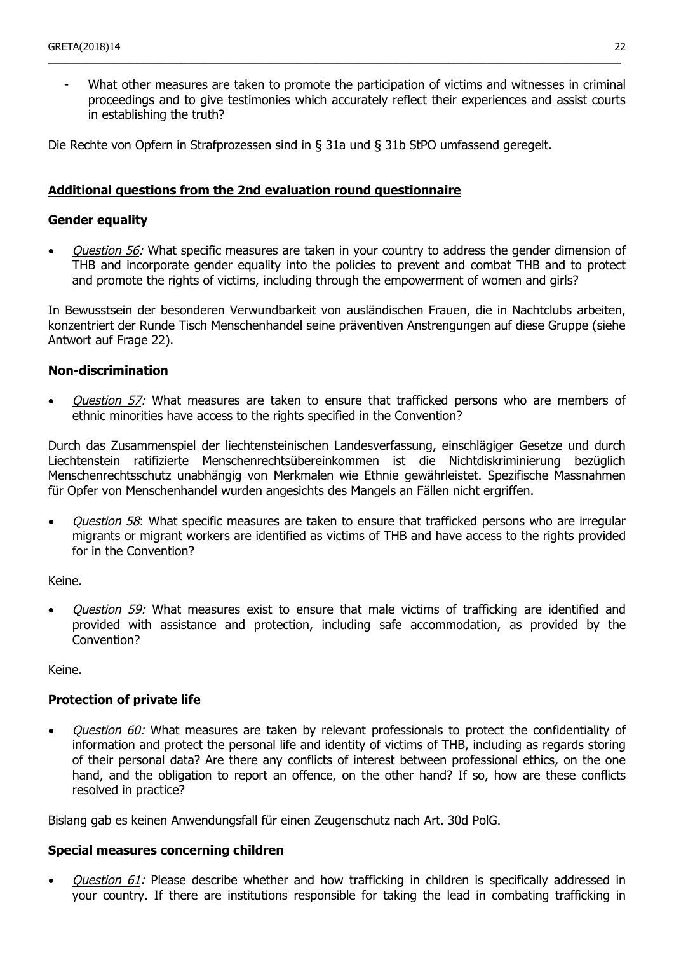What other measures are taken to promote the participation of victims and witnesses in criminal proceedings and to give testimonies which accurately reflect their experiences and assist courts in establishing the truth?

\_\_\_\_\_\_\_\_\_\_\_\_\_\_\_\_\_\_\_\_\_\_\_\_\_\_\_\_\_\_\_\_\_\_\_\_\_\_\_\_\_\_\_\_\_\_\_\_\_\_\_\_\_\_\_\_\_\_\_\_\_\_\_\_\_\_\_\_\_\_\_\_\_\_\_\_\_\_\_\_\_\_\_\_\_\_\_\_\_\_\_\_\_\_\_\_\_\_\_\_\_\_\_

Die Rechte von Opfern in Strafprozessen sind in § 31a und § 31b StPO umfassend geregelt.

#### **Additional questions from the 2nd evaluation round questionnaire**

#### **Gender equality**

*Question 56:* What specific measures are taken in your country to address the gender dimension of THB and incorporate gender equality into the policies to prevent and combat THB and to protect and promote the rights of victims, including through the empowerment of women and girls?

In Bewusstsein der besonderen Verwundbarkeit von ausländischen Frauen, die in Nachtclubs arbeiten, konzentriert der Runde Tisch Menschenhandel seine präventiven Anstrengungen auf diese Gruppe (siehe Antwort auf Frage 22).

#### **Non-discrimination**

Question 57: What measures are taken to ensure that trafficked persons who are members of ethnic minorities have access to the rights specified in the Convention?

Durch das Zusammenspiel der liechtensteinischen Landesverfassung, einschlägiger Gesetze und durch Liechtenstein ratifizierte Menschenrechtsübereinkommen ist die Nichtdiskriminierung bezüglich Menschenrechtsschutz unabhängig von Merkmalen wie Ethnie gewährleistet. Spezifische Massnahmen für Opfer von Menschenhandel wurden angesichts des Mangels an Fällen nicht ergriffen.

*Question 58*: What specific measures are taken to ensure that trafficked persons who are irregular migrants or migrant workers are identified as victims of THB and have access to the rights provided for in the Convention?

Keine.

• *Question 59:* What measures exist to ensure that male victims of trafficking are identified and provided with assistance and protection, including safe accommodation, as provided by the Convention?

Keine.

### **Protection of private life**

• *Question 60:* What measures are taken by relevant professionals to protect the confidentiality of information and protect the personal life and identity of victims of THB, including as regards storing of their personal data? Are there any conflicts of interest between professional ethics, on the one hand, and the obligation to report an offence, on the other hand? If so, how are these conflicts resolved in practice?

Bislang gab es keinen Anwendungsfall für einen Zeugenschutz nach Art. 30d PolG.

#### **Special measures concerning children**

Question 61: Please describe whether and how trafficking in children is specifically addressed in your country. If there are institutions responsible for taking the lead in combating trafficking in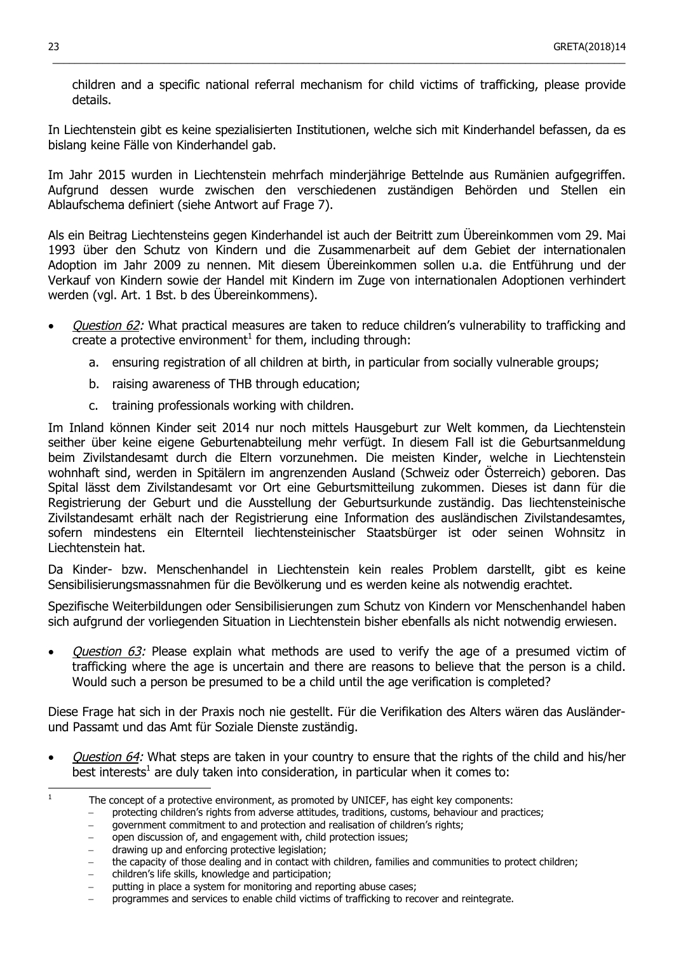children and a specific national referral mechanism for child victims of trafficking, please provide details.

In Liechtenstein gibt es keine spezialisierten Institutionen, welche sich mit Kinderhandel befassen, da es bislang keine Fälle von Kinderhandel gab.

 $\_$  ,  $\_$  ,  $\_$  ,  $\_$  ,  $\_$  ,  $\_$  ,  $\_$  ,  $\_$  ,  $\_$  ,  $\_$  ,  $\_$  ,  $\_$  ,  $\_$  ,  $\_$  ,  $\_$  ,  $\_$  ,  $\_$  ,  $\_$  ,  $\_$  ,  $\_$  ,  $\_$  ,  $\_$  ,  $\_$  ,  $\_$  ,  $\_$  ,  $\_$  ,  $\_$  ,  $\_$  ,  $\_$  ,  $\_$  ,  $\_$  ,  $\_$  ,  $\_$  ,  $\_$  ,  $\_$  ,  $\_$  ,  $\_$  ,

Im Jahr 2015 wurden in Liechtenstein mehrfach minderjährige Bettelnde aus Rumänien aufgegriffen. Aufgrund dessen wurde zwischen den verschiedenen zuständigen Behörden und Stellen ein Ablaufschema definiert (siehe Antwort auf Frage 7).

Als ein Beitrag Liechtensteins gegen Kinderhandel ist auch der Beitritt zum Übereinkommen vom 29. Mai 1993 über den Schutz von Kindern und die Zusammenarbeit auf dem Gebiet der internationalen Adoption im Jahr 2009 zu nennen. Mit diesem Übereinkommen sollen u.a. die Entführung und der Verkauf von Kindern sowie der Handel mit Kindern im Zuge von internationalen Adoptionen verhindert werden (vgl. Art. 1 Bst. b des Übereinkommens).

- Question 62: What practical measures are taken to reduce children's vulnerability to trafficking and create a protective environment<sup>1</sup> for them, including through:
	- a. ensuring registration of all children at birth, in particular from socially vulnerable groups;
	- b. raising awareness of THB through education;
	- c. training professionals working with children.

Im Inland können Kinder seit 2014 nur noch mittels Hausgeburt zur Welt kommen, da Liechtenstein seither über keine eigene Geburtenabteilung mehr verfügt. In diesem Fall ist die Geburtsanmeldung beim Zivilstandesamt durch die Eltern vorzunehmen. Die meisten Kinder, welche in Liechtenstein wohnhaft sind, werden in Spitälern im angrenzenden Ausland (Schweiz oder Österreich) geboren. Das Spital lässt dem Zivilstandesamt vor Ort eine Geburtsmitteilung zukommen. Dieses ist dann für die Registrierung der Geburt und die Ausstellung der Geburtsurkunde zuständig. Das liechtensteinische Zivilstandesamt erhält nach der Registrierung eine Information des ausländischen Zivilstandesamtes, sofern mindestens ein Elternteil liechtensteinischer Staatsbürger ist oder seinen Wohnsitz in Liechtenstein hat.

Da Kinder- bzw. Menschenhandel in Liechtenstein kein reales Problem darstellt, gibt es keine Sensibilisierungsmassnahmen für die Bevölkerung und es werden keine als notwendig erachtet.

Spezifische Weiterbildungen oder Sensibilisierungen zum Schutz von Kindern vor Menschenhandel haben sich aufgrund der vorliegenden Situation in Liechtenstein bisher ebenfalls als nicht notwendig erwiesen.

*Ouestion 63:* Please explain what methods are used to verify the age of a presumed victim of trafficking where the age is uncertain and there are reasons to believe that the person is a child. Would such a person be presumed to be a child until the age verification is completed?

Diese Frage hat sich in der Praxis noch nie gestellt. Für die Verifikation des Alters wären das Ausländerund Passamt und das Amt für Soziale Dienste zuständig.

• *Question 64:* What steps are taken in your country to ensure that the rights of the child and his/her best interests<sup>1</sup> are duly taken into consideration, in particular when it comes to:

qovernment commitment to and protection and realisation of children's rights;

- − drawing up and enforcing protective legislation;
- the capacity of those dealing and in contact with children, families and communities to protect children;
- − children's life skills, knowledge and participation;
- putting in place a system for monitoring and reporting abuse cases;

<sup>1</sup> The concept of a protective environment, as promoted by UNICEF, has eight key components:

<sup>−</sup> protecting children's rights from adverse attitudes, traditions, customs, behaviour and practices;

<sup>−</sup> open discussion of, and engagement with, child protection issues;

<sup>−</sup> programmes and services to enable child victims of trafficking to recover and reintegrate.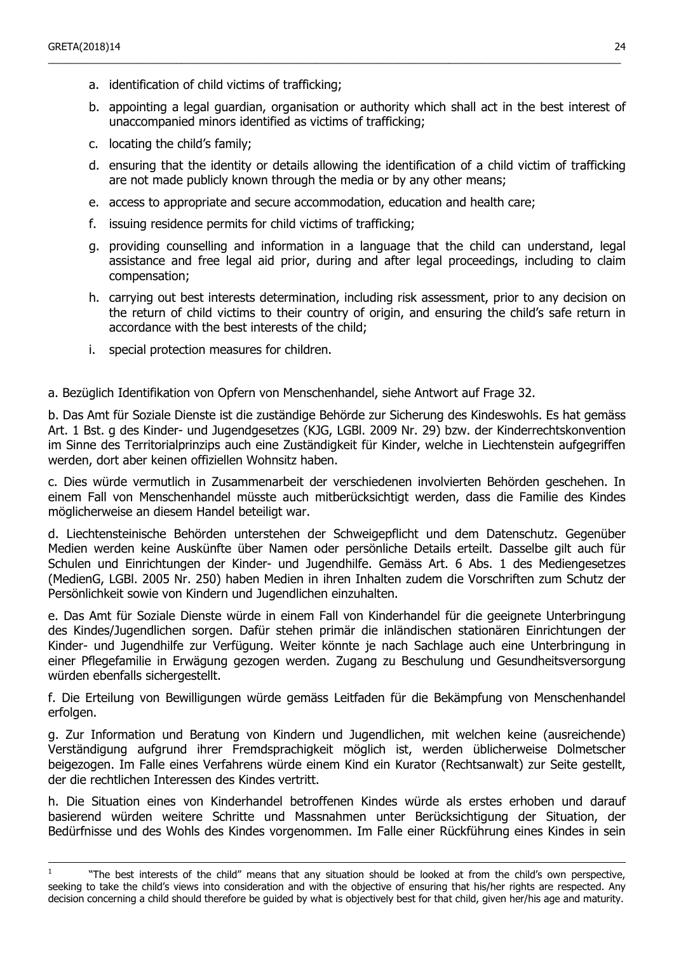- a. identification of child victims of trafficking;
- b. appointing a legal guardian, organisation or authority which shall act in the best interest of unaccompanied minors identified as victims of trafficking;

\_\_\_\_\_\_\_\_\_\_\_\_\_\_\_\_\_\_\_\_\_\_\_\_\_\_\_\_\_\_\_\_\_\_\_\_\_\_\_\_\_\_\_\_\_\_\_\_\_\_\_\_\_\_\_\_\_\_\_\_\_\_\_\_\_\_\_\_\_\_\_\_\_\_\_\_\_\_\_\_\_\_\_\_\_\_\_\_\_\_\_\_\_\_\_\_\_\_\_\_\_\_\_

- c. locating the child's family;
- d. ensuring that the identity or details allowing the identification of a child victim of trafficking are not made publicly known through the media or by any other means;
- e. access to appropriate and secure accommodation, education and health care;
- f. issuing residence permits for child victims of trafficking;
- g. providing counselling and information in a language that the child can understand, legal assistance and free legal aid prior, during and after legal proceedings, including to claim compensation;
- h. carrying out best interests determination, including risk assessment, prior to any decision on the return of child victims to their country of origin, and ensuring the child's safe return in accordance with the best interests of the child;
- i. special protection measures for children.

a. Bezüglich Identifikation von Opfern von Menschenhandel, siehe Antwort auf Frage 32.

b. Das Amt für Soziale Dienste ist die zuständige Behörde zur Sicherung des Kindeswohls. Es hat gemäss Art. 1 Bst. g des Kinder- und Jugendgesetzes (KJG, LGBl. 2009 Nr. 29) bzw. der Kinderrechtskonvention im Sinne des Territorialprinzips auch eine Zuständigkeit für Kinder, welche in Liechtenstein aufgegriffen werden, dort aber keinen offiziellen Wohnsitz haben.

c. Dies würde vermutlich in Zusammenarbeit der verschiedenen involvierten Behörden geschehen. In einem Fall von Menschenhandel müsste auch mitberücksichtigt werden, dass die Familie des Kindes möglicherweise an diesem Handel beteiligt war.

d. Liechtensteinische Behörden unterstehen der Schweigepflicht und dem Datenschutz. Gegenüber Medien werden keine Auskünfte über Namen oder persönliche Details erteilt. Dasselbe gilt auch für Schulen und Einrichtungen der Kinder- und Jugendhilfe. Gemäss Art. 6 Abs. 1 des Mediengesetzes (MedienG, LGBl. 2005 Nr. 250) haben Medien in ihren Inhalten zudem die Vorschriften zum Schutz der Persönlichkeit sowie von Kindern und Jugendlichen einzuhalten.

e. Das Amt für Soziale Dienste würde in einem Fall von Kinderhandel für die geeignete Unterbringung des Kindes/Jugendlichen sorgen. Dafür stehen primär die inländischen stationären Einrichtungen der Kinder- und Jugendhilfe zur Verfügung. Weiter könnte je nach Sachlage auch eine Unterbringung in einer Pflegefamilie in Erwägung gezogen werden. Zugang zu Beschulung und Gesundheitsversorgung würden ebenfalls sichergestellt.

f. Die Erteilung von Bewilligungen würde gemäss Leitfaden für die Bekämpfung von Menschenhandel erfolgen.

g. Zur Information und Beratung von Kindern und Jugendlichen, mit welchen keine (ausreichende) Verständigung aufgrund ihrer Fremdsprachigkeit möglich ist, werden üblicherweise Dolmetscher beigezogen. Im Falle eines Verfahrens würde einem Kind ein Kurator (Rechtsanwalt) zur Seite gestellt, der die rechtlichen Interessen des Kindes vertritt.

h. Die Situation eines von Kinderhandel betroffenen Kindes würde als erstes erhoben und darauf basierend würden weitere Schritte und Massnahmen unter Berücksichtigung der Situation, der Bedürfnisse und des Wohls des Kindes vorgenommen. Im Falle einer Rückführung eines Kindes in sein

<sup>1</sup> "The best interests of the child" means that any situation should be looked at from the child's own perspective, seeking to take the child's views into consideration and with the objective of ensuring that his/her rights are respected. Any decision concerning a child should therefore be guided by what is objectively best for that child, given her/his age and maturity.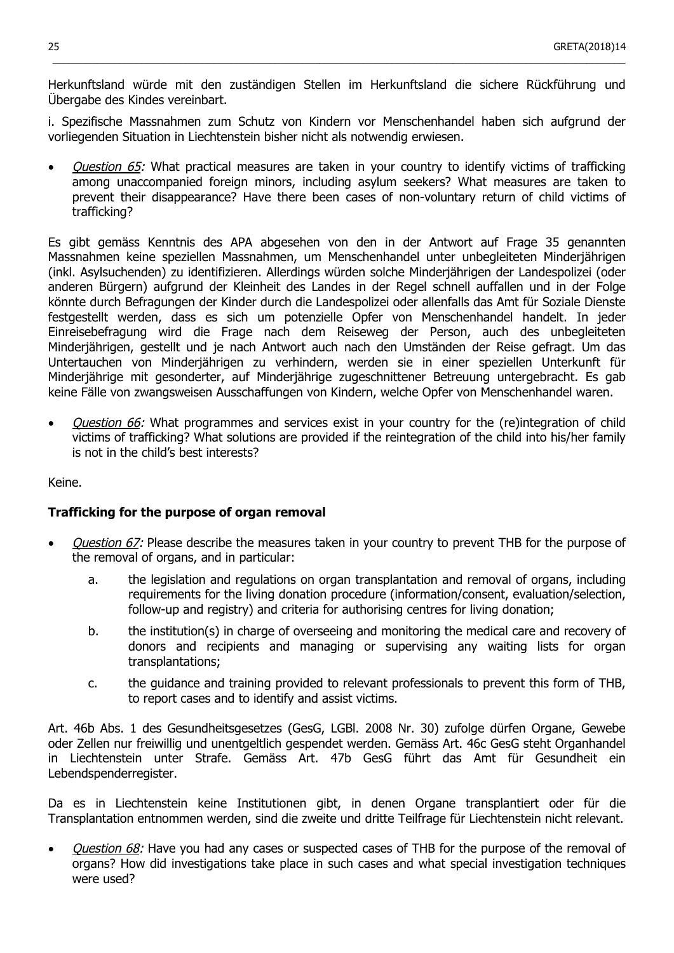Herkunftsland würde mit den zuständigen Stellen im Herkunftsland die sichere Rückführung und Übergabe des Kindes vereinbart.

 $\_$  ,  $\_$  ,  $\_$  ,  $\_$  ,  $\_$  ,  $\_$  ,  $\_$  ,  $\_$  ,  $\_$  ,  $\_$  ,  $\_$  ,  $\_$  ,  $\_$  ,  $\_$  ,  $\_$  ,  $\_$  ,  $\_$  ,  $\_$  ,  $\_$  ,  $\_$  ,  $\_$  ,  $\_$  ,  $\_$  ,  $\_$  ,  $\_$  ,  $\_$  ,  $\_$  ,  $\_$  ,  $\_$  ,  $\_$  ,  $\_$  ,  $\_$  ,  $\_$  ,  $\_$  ,  $\_$  ,  $\_$  ,  $\_$  ,

i. Spezifische Massnahmen zum Schutz von Kindern vor Menschenhandel haben sich aufgrund der vorliegenden Situation in Liechtenstein bisher nicht als notwendig erwiesen.

Question 65: What practical measures are taken in your country to identify victims of trafficking among unaccompanied foreign minors, including asylum seekers? What measures are taken to prevent their disappearance? Have there been cases of non-voluntary return of child victims of trafficking?

Es gibt gemäss Kenntnis des APA abgesehen von den in der Antwort auf Frage 35 genannten Massnahmen keine speziellen Massnahmen, um Menschenhandel unter unbegleiteten Minderjährigen (inkl. Asylsuchenden) zu identifizieren. Allerdings würden solche Minderjährigen der Landespolizei (oder anderen Bürgern) aufgrund der Kleinheit des Landes in der Regel schnell auffallen und in der Folge könnte durch Befragungen der Kinder durch die Landespolizei oder allenfalls das Amt für Soziale Dienste festgestellt werden, dass es sich um potenzielle Opfer von Menschenhandel handelt. In jeder Einreisebefragung wird die Frage nach dem Reiseweg der Person, auch des unbegleiteten Minderjährigen, gestellt und je nach Antwort auch nach den Umständen der Reise gefragt. Um das Untertauchen von Minderjährigen zu verhindern, werden sie in einer speziellen Unterkunft für Minderjährige mit gesonderter, auf Minderjährige zugeschnittener Betreuung untergebracht. Es gab keine Fälle von zwangsweisen Ausschaffungen von Kindern, welche Opfer von Menschenhandel waren.

Question 66: What programmes and services exist in your country for the (re)integration of child victims of trafficking? What solutions are provided if the reintegration of the child into his/her family is not in the child's best interests?

Keine.

### **Trafficking for the purpose of organ removal**

- *Question 67:* Please describe the measures taken in your country to prevent THB for the purpose of the removal of organs, and in particular:
	- a. the legislation and regulations on organ transplantation and removal of organs, including requirements for the living donation procedure (information/consent, evaluation/selection, follow-up and registry) and criteria for authorising centres for living donation;
	- b. the institution(s) in charge of overseeing and monitoring the medical care and recovery of donors and recipients and managing or supervising any waiting lists for organ transplantations;
	- c. the guidance and training provided to relevant professionals to prevent this form of THB, to report cases and to identify and assist victims.

Art. 46b Abs. 1 des Gesundheitsgesetzes (GesG, LGBl. 2008 Nr. 30) zufolge dürfen Organe, Gewebe oder Zellen nur freiwillig und unentgeltlich gespendet werden. Gemäss Art. 46c GesG steht Organhandel in Liechtenstein unter Strafe. Gemäss Art. 47b GesG führt das Amt für Gesundheit ein Lebendspenderregister.

Da es in Liechtenstein keine Institutionen gibt, in denen Organe transplantiert oder für die Transplantation entnommen werden, sind die zweite und dritte Teilfrage für Liechtenstein nicht relevant.

*Question 68:* Have you had any cases or suspected cases of THB for the purpose of the removal of organs? How did investigations take place in such cases and what special investigation techniques were used?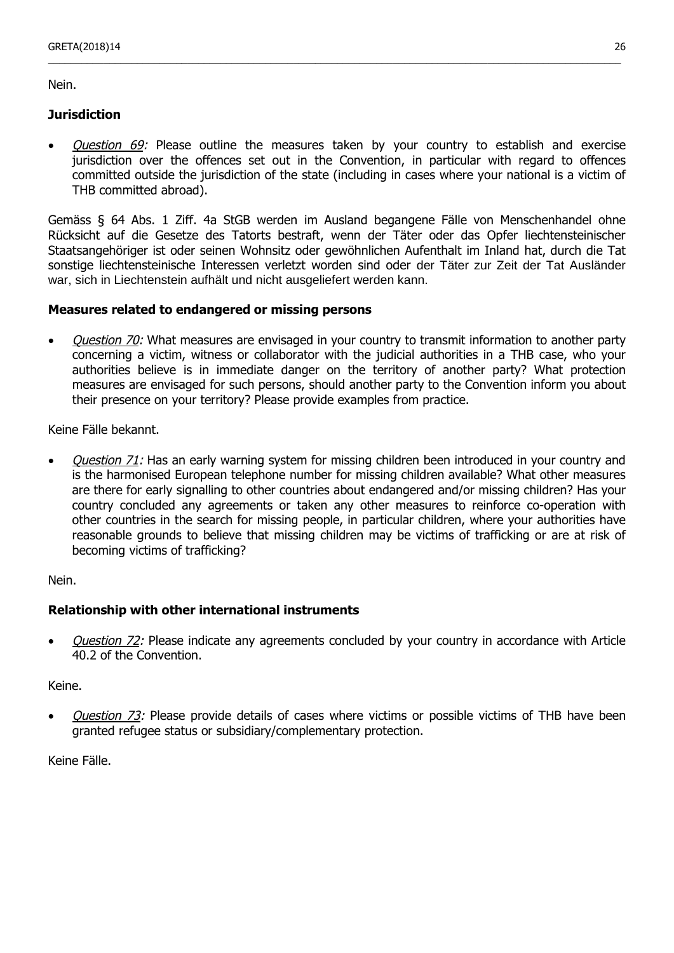Nein.

### **Jurisdiction**

• Question 69: Please outline the measures taken by your country to establish and exercise jurisdiction over the offences set out in the Convention, in particular with regard to offences committed outside the jurisdiction of the state (including in cases where your national is a victim of THB committed abroad).

\_\_\_\_\_\_\_\_\_\_\_\_\_\_\_\_\_\_\_\_\_\_\_\_\_\_\_\_\_\_\_\_\_\_\_\_\_\_\_\_\_\_\_\_\_\_\_\_\_\_\_\_\_\_\_\_\_\_\_\_\_\_\_\_\_\_\_\_\_\_\_\_\_\_\_\_\_\_\_\_\_\_\_\_\_\_\_\_\_\_\_\_\_\_\_\_\_\_\_\_\_\_\_

Gemäss § 64 Abs. 1 Ziff. 4a StGB werden im Ausland begangene Fälle von Menschenhandel ohne Rücksicht auf die Gesetze des Tatorts bestraft, wenn der Täter oder das Opfer liechtensteinischer Staatsangehöriger ist oder seinen Wohnsitz oder gewöhnlichen Aufenthalt im Inland hat, durch die Tat sonstige liechtensteinische Interessen verletzt worden sind oder der Täter zur Zeit der Tat Ausländer war, sich in Liechtenstein aufhält und nicht ausgeliefert werden kann.

### **Measures related to endangered or missing persons**

• *Question 70:* What measures are envisaged in your country to transmit information to another party concerning a victim, witness or collaborator with the judicial authorities in a THB case, who your authorities believe is in immediate danger on the territory of another party? What protection measures are envisaged for such persons, should another party to the Convention inform you about their presence on your territory? Please provide examples from practice.

Keine Fälle bekannt.

Question 71: Has an early warning system for missing children been introduced in your country and is the harmonised European telephone number for missing children available? What other measures are there for early signalling to other countries about endangered and/or missing children? Has your country concluded any agreements or taken any other measures to reinforce co-operation with other countries in the search for missing people, in particular children, where your authorities have reasonable grounds to believe that missing children may be victims of trafficking or are at risk of becoming victims of trafficking?

Nein.

## **Relationship with other international instruments**

*Question 72:* Please indicate any agreements concluded by your country in accordance with Article 40.2 of the Convention.

Keine.

*Question 73:* Please provide details of cases where victims or possible victims of THB have been granted refugee status or subsidiary/complementary protection.

Keine Fälle.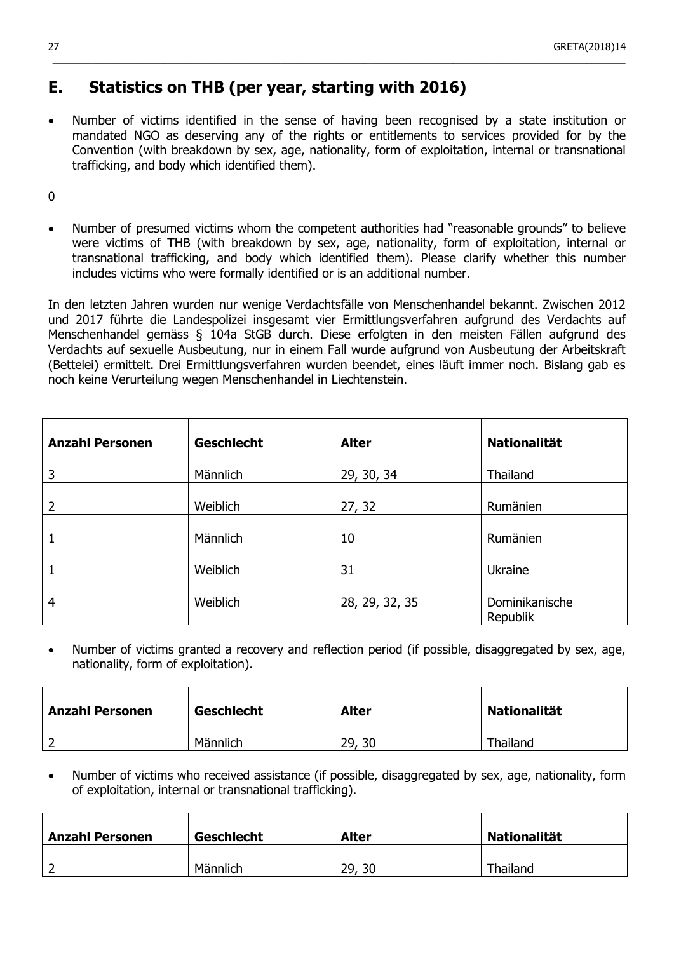## **E. Statistics on THB (per year, starting with 2016)**

• Number of victims identified in the sense of having been recognised by a state institution or mandated NGO as deserving any of the rights or entitlements to services provided for by the Convention (with breakdown by sex, age, nationality, form of exploitation, internal or transnational trafficking, and body which identified them).

 $\_$  ,  $\_$  ,  $\_$  ,  $\_$  ,  $\_$  ,  $\_$  ,  $\_$  ,  $\_$  ,  $\_$  ,  $\_$  ,  $\_$  ,  $\_$  ,  $\_$  ,  $\_$  ,  $\_$  ,  $\_$  ,  $\_$  ,  $\_$  ,  $\_$  ,  $\_$  ,  $\_$  ,  $\_$  ,  $\_$  ,  $\_$  ,  $\_$  ,  $\_$  ,  $\_$  ,  $\_$  ,  $\_$  ,  $\_$  ,  $\_$  ,  $\_$  ,  $\_$  ,  $\_$  ,  $\_$  ,  $\_$  ,  $\_$  ,

0

• Number of presumed victims whom the competent authorities had "reasonable grounds" to believe were victims of THB (with breakdown by sex, age, nationality, form of exploitation, internal or transnational trafficking, and body which identified them). Please clarify whether this number includes victims who were formally identified or is an additional number.

In den letzten Jahren wurden nur wenige Verdachtsfälle von Menschenhandel bekannt. Zwischen 2012 und 2017 führte die Landespolizei insgesamt vier Ermittlungsverfahren aufgrund des Verdachts auf Menschenhandel gemäss § 104a StGB durch. Diese erfolgten in den meisten Fällen aufgrund des Verdachts auf sexuelle Ausbeutung, nur in einem Fall wurde aufgrund von Ausbeutung der Arbeitskraft (Bettelei) ermittelt. Drei Ermittlungsverfahren wurden beendet, eines läuft immer noch. Bislang gab es noch keine Verurteilung wegen Menschenhandel in Liechtenstein.

| <b>Anzahl Personen</b> | <b>Geschlecht</b> | <b>Alter</b>   | <b>Nationalität</b>        |
|------------------------|-------------------|----------------|----------------------------|
|                        |                   |                |                            |
| 3                      | Männlich          | 29, 30, 34     | Thailand                   |
| 2                      | Weiblich          | 27, 32         | Rumänien                   |
|                        | Männlich          | 10             | Rumänien                   |
|                        | Weiblich          | 31             | Ukraine                    |
| $\overline{4}$         | Weiblich          | 28, 29, 32, 35 | Dominikanische<br>Republik |

• Number of victims granted a recovery and reflection period (if possible, disaggregated by sex, age, nationality, form of exploitation).

| <b>Anzahl Personen</b> | <b>Geschlecht</b> | <b>Alter</b> | <b>Nationalität</b> |
|------------------------|-------------------|--------------|---------------------|
|                        | Männlich          | 29,<br>30    | Thailand            |

• Number of victims who received assistance (if possible, disaggregated by sex, age, nationality, form of exploitation, internal or transnational trafficking).

| <b>Anzahl Personen</b> | <b>Geschlecht</b> | <b>Alter</b> | <b>Nationalität</b> |
|------------------------|-------------------|--------------|---------------------|
|                        | Männlich          | 29,<br>30    | Thailand            |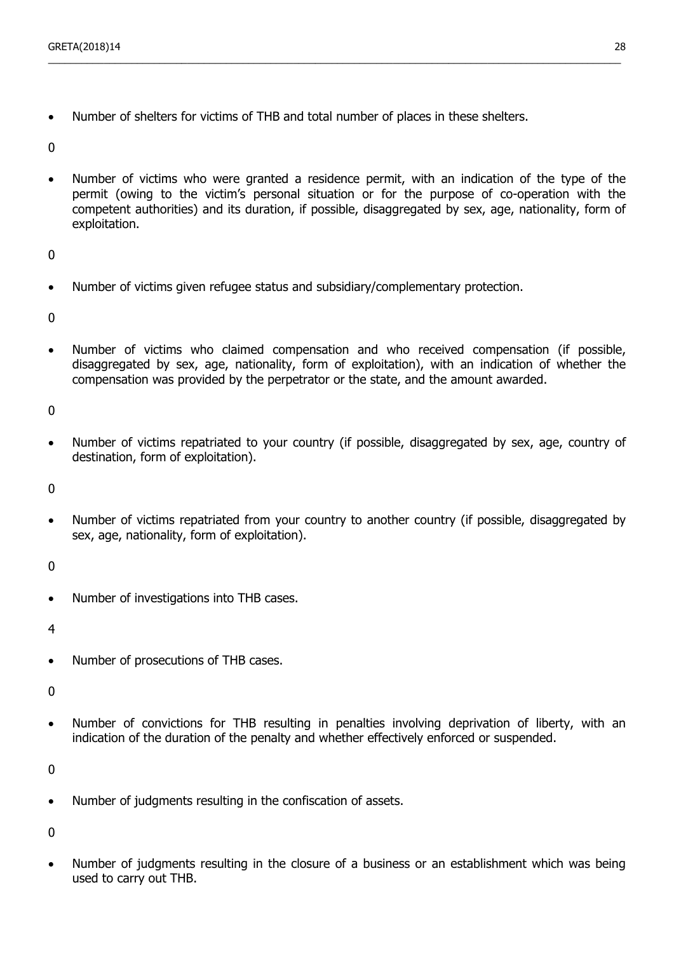• Number of shelters for victims of THB and total number of places in these shelters.

 $\Omega$ 

• Number of victims who were granted a residence permit, with an indication of the type of the permit (owing to the victim's personal situation or for the purpose of co-operation with the competent authorities) and its duration, if possible, disaggregated by sex, age, nationality, form of exploitation.

\_\_\_\_\_\_\_\_\_\_\_\_\_\_\_\_\_\_\_\_\_\_\_\_\_\_\_\_\_\_\_\_\_\_\_\_\_\_\_\_\_\_\_\_\_\_\_\_\_\_\_\_\_\_\_\_\_\_\_\_\_\_\_\_\_\_\_\_\_\_\_\_\_\_\_\_\_\_\_\_\_\_\_\_\_\_\_\_\_\_\_\_\_\_\_\_\_\_\_\_\_\_\_

 $\Omega$ 

• Number of victims given refugee status and subsidiary/complementary protection.

 $\Omega$ 

• Number of victims who claimed compensation and who received compensation (if possible, disaggregated by sex, age, nationality, form of exploitation), with an indication of whether the compensation was provided by the perpetrator or the state, and the amount awarded.

 $\Omega$ 

• Number of victims repatriated to your country (if possible, disaggregated by sex, age, country of destination, form of exploitation).

0

• Number of victims repatriated from your country to another country (if possible, disaggregated by sex, age, nationality, form of exploitation).

0

• Number of investigations into THB cases.

4

• Number of prosecutions of THB cases.

 $\theta$ 

• Number of convictions for THB resulting in penalties involving deprivation of liberty, with an indication of the duration of the penalty and whether effectively enforced or suspended.

 $\Omega$ 

• Number of judgments resulting in the confiscation of assets.

0

• Number of judgments resulting in the closure of a business or an establishment which was being used to carry out THB.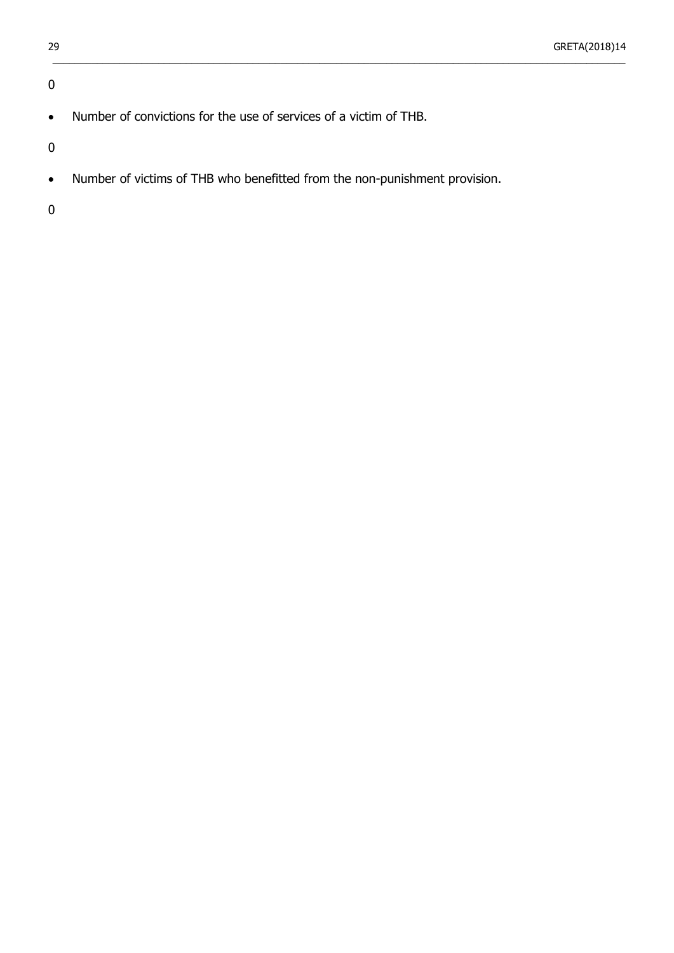## 0

• Number of convictions for the use of services of a victim of THB.

0

• Number of victims of THB who benefitted from the non-punishment provision.

 $\_$  ,  $\_$  ,  $\_$  ,  $\_$  ,  $\_$  ,  $\_$  ,  $\_$  ,  $\_$  ,  $\_$  ,  $\_$  ,  $\_$  ,  $\_$  ,  $\_$  ,  $\_$  ,  $\_$  ,  $\_$  ,  $\_$  ,  $\_$  ,  $\_$  ,  $\_$  ,  $\_$  ,  $\_$  ,  $\_$  ,  $\_$  ,  $\_$  ,  $\_$  ,  $\_$  ,  $\_$  ,  $\_$  ,  $\_$  ,  $\_$  ,  $\_$  ,  $\_$  ,  $\_$  ,  $\_$  ,  $\_$  ,  $\_$  ,

0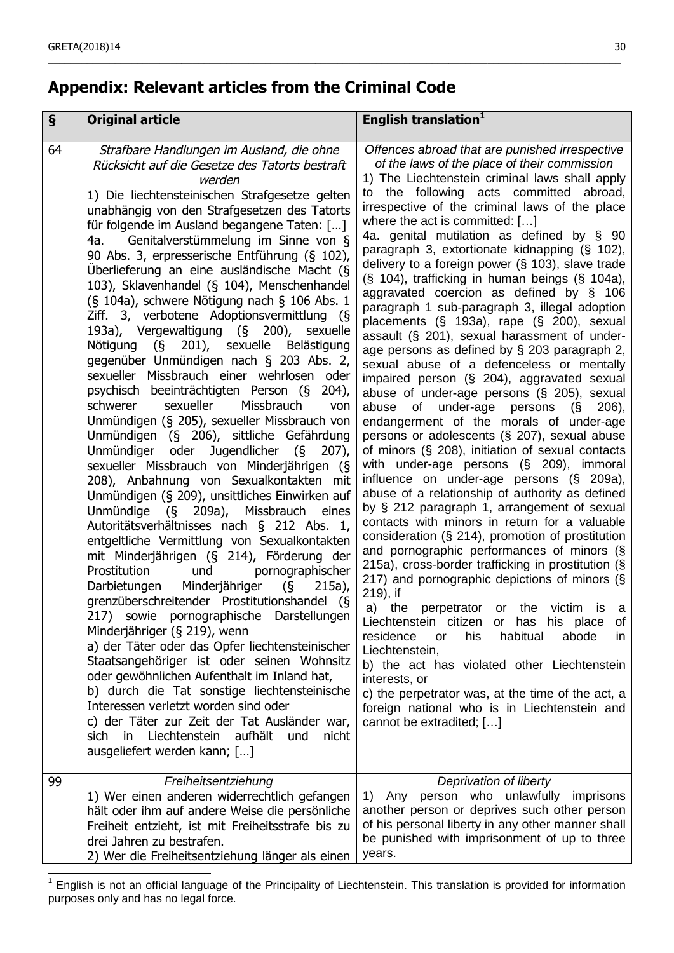# **Appendix: Relevant articles from the Criminal Code**

| $\S$ | <b>Original article</b>                                                                                                                                                                                                                                                                                                                                                                                                                                                                                                                                                                                                                                                                                                                                                                                                                                                                                                                                                                                                                                                                                                                                                                                                                                                                                                                                                                                                                                                                                                                                                                                                                                                                                                                                                                                                                                                                                                   | English translation <sup>1</sup>                                                                                                                                                                                                                                                                                                                                                                                                                                                                                                                                                                                                                                                                                                                                                                                                                                                                                                                                                                                                                                                                                                                                                                                                                                                                                                                                                                                                                                                                                                                                                                                                                                                                                                                                                                                                                                                                                   |
|------|---------------------------------------------------------------------------------------------------------------------------------------------------------------------------------------------------------------------------------------------------------------------------------------------------------------------------------------------------------------------------------------------------------------------------------------------------------------------------------------------------------------------------------------------------------------------------------------------------------------------------------------------------------------------------------------------------------------------------------------------------------------------------------------------------------------------------------------------------------------------------------------------------------------------------------------------------------------------------------------------------------------------------------------------------------------------------------------------------------------------------------------------------------------------------------------------------------------------------------------------------------------------------------------------------------------------------------------------------------------------------------------------------------------------------------------------------------------------------------------------------------------------------------------------------------------------------------------------------------------------------------------------------------------------------------------------------------------------------------------------------------------------------------------------------------------------------------------------------------------------------------------------------------------------------|--------------------------------------------------------------------------------------------------------------------------------------------------------------------------------------------------------------------------------------------------------------------------------------------------------------------------------------------------------------------------------------------------------------------------------------------------------------------------------------------------------------------------------------------------------------------------------------------------------------------------------------------------------------------------------------------------------------------------------------------------------------------------------------------------------------------------------------------------------------------------------------------------------------------------------------------------------------------------------------------------------------------------------------------------------------------------------------------------------------------------------------------------------------------------------------------------------------------------------------------------------------------------------------------------------------------------------------------------------------------------------------------------------------------------------------------------------------------------------------------------------------------------------------------------------------------------------------------------------------------------------------------------------------------------------------------------------------------------------------------------------------------------------------------------------------------------------------------------------------------------------------------------------------------|
| 64   | Strafbare Handlungen im Ausland, die ohne<br>Rücksicht auf die Gesetze des Tatorts bestraft<br>werden<br>1) Die liechtensteinischen Strafgesetze gelten<br>unabhängig von den Strafgesetzen des Tatorts<br>für folgende im Ausland begangene Taten: []<br>Genitalverstümmelung im Sinne von §<br>4a.<br>90 Abs. 3, erpresserische Entführung (§ 102),<br>Überlieferung an eine ausländische Macht (§<br>103), Sklavenhandel (§ 104), Menschenhandel<br>(§ 104a), schwere Nötigung nach § 106 Abs. 1<br>Ziff. 3, verbotene Adoptionsvermittlung (§<br>193a), Vergewaltigung (§ 200),<br>sexuelle<br>Nötigung (§ 201), sexuelle Belästigung<br>gegenüber Unmündigen nach § 203 Abs. 2,<br>sexueller Missbrauch einer wehrlosen oder<br>psychisch beeinträchtigten Person (§<br>204),<br>Missbrauch<br>schwerer<br>sexueller<br>von<br>Unmündigen (§ 205), sexueller Missbrauch von<br>Unmündigen (§ 206), sittliche Gefährdung<br>oder Jugendlicher (§<br>Unmündiger<br>$207$ ),<br>sexueller Missbrauch von Minderjährigen (§<br>208), Anbahnung von Sexualkontakten mit<br>Unmündigen (§ 209), unsittliches Einwirken auf<br>Unmündige (§ 209a), Missbrauch eines<br>Autoritätsverhältnisses nach § 212 Abs. 1,<br>entgeltliche Vermittlung von Sexualkontakten<br>mit Minderjährigen (§ 214), Förderung der<br>Prostitution<br>und<br>pornographischer<br>Darbietungen Minderjähriger<br>$\frac{1}{5}$<br>$215a)$ ,<br>grenzüberschreitender Prostitutionshandel (§<br>217) sowie pornographische Darstellungen<br>Minderjähriger (§ 219), wenn<br>a) der Täter oder das Opfer liechtensteinischer<br>Staatsangehöriger ist oder seinen Wohnsitz<br>oder gewöhnlichen Aufenthalt im Inland hat,<br>b) durch die Tat sonstige liechtensteinische<br>Interessen verletzt worden sind oder<br>c) der Täter zur Zeit der Tat Ausländer war,<br>sich in Liechtenstein aufhält<br>und<br>nicht<br>ausgeliefert werden kann; [] | Offences abroad that are punished irrespective<br>of the laws of the place of their commission<br>1) The Liechtenstein criminal laws shall apply<br>to the following acts committed abroad,<br>irrespective of the criminal laws of the place<br>where the act is committed: $[]$<br>4a. genital mutilation as defined by § 90<br>paragraph 3, extortionate kidnapping (§ 102),<br>delivery to a foreign power $(S$ 103), slave trade<br>(§ 104), trafficking in human beings (§ 104a),<br>aggravated coercion as defined by § 106<br>paragraph 1 sub-paragraph 3, illegal adoption<br>placements (§ 193a), rape (§ 200), sexual<br>assault (§ 201), sexual harassment of under-<br>age persons as defined by § 203 paragraph 2,<br>sexual abuse of a defenceless or mentally<br>impaired person (§ 204), aggravated sexual<br>abuse of under-age persons (§ 205), sexual<br>abuse of under-age persons $(\S$ 206),<br>endangerment of the morals of under-age<br>persons or adolescents (§ 207), sexual abuse<br>of minors $(\S$ 208), initiation of sexual contacts<br>with under-age persons (§ 209), immoral<br>influence on under-age persons (§ 209a),<br>abuse of a relationship of authority as defined<br>by § 212 paragraph 1, arrangement of sexual<br>contacts with minors in return for a valuable<br>consideration (§ 214), promotion of prostitution<br>and pornographic performances of minors (§<br>215a), cross-border trafficking in prostitution (§<br>217) and pornographic depictions of minors (§<br>219), if<br>a)<br>the perpetrator or the victim is a<br>of<br>Liechtenstein citizen or has his place<br>residence<br>his<br>habitual<br>abode<br>or<br>$\mathsf{I}$<br>Liechtenstein,<br>b) the act has violated other Liechtenstein<br>interests, or<br>c) the perpetrator was, at the time of the act, a<br>foreign national who is in Liechtenstein and<br>cannot be extradited; [] |
| 99   | Freiheitsentziehung<br>1) Wer einen anderen widerrechtlich gefangen<br>hält oder ihm auf andere Weise die persönliche<br>Freiheit entzieht, ist mit Freiheitsstrafe bis zu<br>drei Jahren zu bestrafen.<br>2) Wer die Freiheitsentziehung länger als einen                                                                                                                                                                                                                                                                                                                                                                                                                                                                                                                                                                                                                                                                                                                                                                                                                                                                                                                                                                                                                                                                                                                                                                                                                                                                                                                                                                                                                                                                                                                                                                                                                                                                | Deprivation of liberty<br>1) Any person who unlawfully imprisons<br>another person or deprives such other person<br>of his personal liberty in any other manner shall<br>be punished with imprisonment of up to three<br>years.                                                                                                                                                                                                                                                                                                                                                                                                                                                                                                                                                                                                                                                                                                                                                                                                                                                                                                                                                                                                                                                                                                                                                                                                                                                                                                                                                                                                                                                                                                                                                                                                                                                                                    |

\_\_\_\_\_\_\_\_\_\_\_\_\_\_\_\_\_\_\_\_\_\_\_\_\_\_\_\_\_\_\_\_\_\_\_\_\_\_\_\_\_\_\_\_\_\_\_\_\_\_\_\_\_\_\_\_\_\_\_\_\_\_\_\_\_\_\_\_\_\_\_\_\_\_\_\_\_\_\_\_\_\_\_\_\_\_\_\_\_\_\_\_\_\_\_\_\_\_\_\_\_\_\_

<sup>1</sup> English is not an official language of the Principality of Liechtenstein. This translation is provided for information purposes only and has no legal force.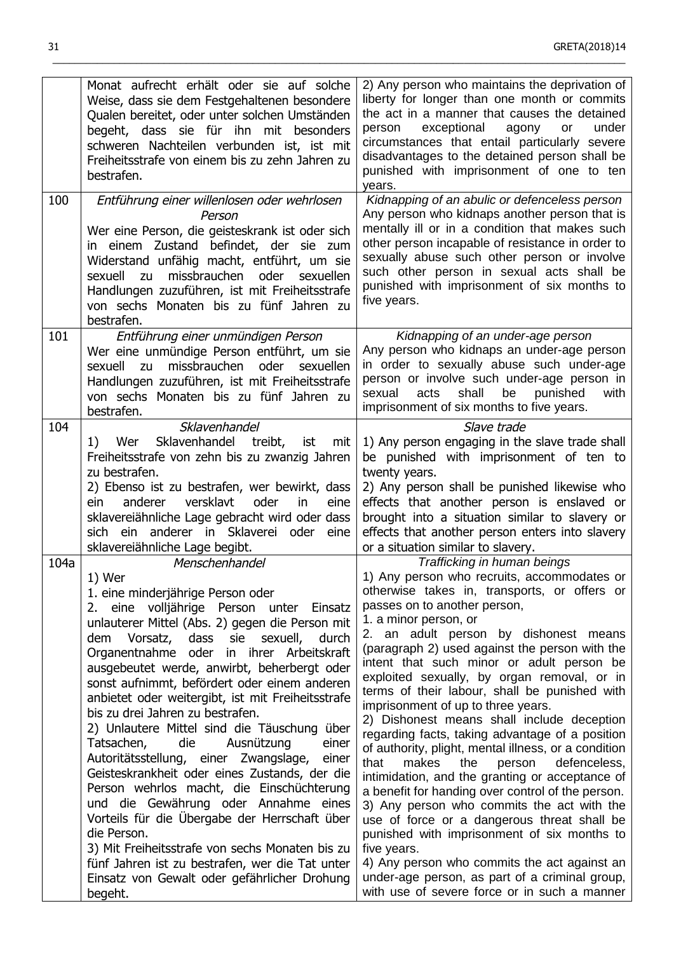|      | Monat aufrecht erhält oder sie auf solche<br>Weise, dass sie dem Festgehaltenen besondere<br>Qualen bereitet, oder unter solchen Umständen<br>begeht, dass sie für ihn mit besonders<br>schweren Nachteilen verbunden ist, ist mit<br>Freiheitsstrafe von einem bis zu zehn Jahren zu<br>bestrafen.                                                                                                                                                                                                                                                                                                                                                                                                                                                                                                                                                                                                                                                                         | 2) Any person who maintains the deprivation of<br>liberty for longer than one month or commits<br>the act in a manner that causes the detained<br>exceptional<br>under<br>person<br>agony<br>or<br>circumstances that entail particularly severe<br>disadvantages to the detained person shall be<br>punished with imprisonment of one to ten<br>years.                                                                                                                                                                                                                                                                                                                                                                                                                                                                                                                                                                                                                                                                                                                                           |
|------|-----------------------------------------------------------------------------------------------------------------------------------------------------------------------------------------------------------------------------------------------------------------------------------------------------------------------------------------------------------------------------------------------------------------------------------------------------------------------------------------------------------------------------------------------------------------------------------------------------------------------------------------------------------------------------------------------------------------------------------------------------------------------------------------------------------------------------------------------------------------------------------------------------------------------------------------------------------------------------|---------------------------------------------------------------------------------------------------------------------------------------------------------------------------------------------------------------------------------------------------------------------------------------------------------------------------------------------------------------------------------------------------------------------------------------------------------------------------------------------------------------------------------------------------------------------------------------------------------------------------------------------------------------------------------------------------------------------------------------------------------------------------------------------------------------------------------------------------------------------------------------------------------------------------------------------------------------------------------------------------------------------------------------------------------------------------------------------------|
| 100  | Entführung einer willenlosen oder wehrlosen<br>Person<br>Wer eine Person, die geisteskrank ist oder sich<br>in einem Zustand befindet, der sie zum<br>Widerstand unfähig macht, entführt, um sie<br>missbrauchen<br>sexuell<br>oder<br>zu<br>sexuellen<br>Handlungen zuzuführen, ist mit Freiheitsstrafe<br>von sechs Monaten bis zu fünf Jahren zu<br>bestrafen.                                                                                                                                                                                                                                                                                                                                                                                                                                                                                                                                                                                                           | Kidnapping of an abulic or defenceless person<br>Any person who kidnaps another person that is<br>mentally ill or in a condition that makes such<br>other person incapable of resistance in order to<br>sexually abuse such other person or involve<br>such other person in sexual acts shall be<br>punished with imprisonment of six months to<br>five years.                                                                                                                                                                                                                                                                                                                                                                                                                                                                                                                                                                                                                                                                                                                                    |
| 101  | Entführung einer unmündigen Person<br>Wer eine unmündige Person entführt, um sie<br>missbrauchen<br>sexuell<br>zu<br>oder<br>sexuellen<br>Handlungen zuzuführen, ist mit Freiheitsstrafe<br>von sechs Monaten bis zu fünf Jahren zu<br>bestrafen.                                                                                                                                                                                                                                                                                                                                                                                                                                                                                                                                                                                                                                                                                                                           | Kidnapping of an under-age person<br>Any person who kidnaps an under-age person<br>in order to sexually abuse such under-age<br>person or involve such under-age person in<br>shall<br>punished<br>sexual<br>acts<br>be<br>with<br>imprisonment of six months to five years.                                                                                                                                                                                                                                                                                                                                                                                                                                                                                                                                                                                                                                                                                                                                                                                                                      |
| 104  | Sklavenhandel<br>Sklavenhandel<br>treibt,<br>Wer<br>1)<br>ist<br>mit<br>Freiheitsstrafe von zehn bis zu zwanzig Jahren<br>zu bestrafen.<br>2) Ebenso ist zu bestrafen, wer bewirkt, dass<br>anderer<br>versklavt<br>oder<br>ein<br>eine<br>in<br>sklavereiähnliche Lage gebracht wird oder dass<br>sich ein anderer in Sklaverei oder eine<br>sklavereiähnliche Lage begibt.                                                                                                                                                                                                                                                                                                                                                                                                                                                                                                                                                                                                | Slave trade<br>1) Any person engaging in the slave trade shall<br>be punished with imprisonment of ten to<br>twenty years.<br>2) Any person shall be punished likewise who<br>effects that another person is enslaved or<br>brought into a situation similar to slavery or<br>effects that another person enters into slavery<br>or a situation similar to slavery.                                                                                                                                                                                                                                                                                                                                                                                                                                                                                                                                                                                                                                                                                                                               |
| 104a | Menschenhandel<br>1) Wer<br>1. eine minderjährige Person oder<br>2. eine volljährige Person unter Einsatz<br>unlauterer Mittel (Abs. 2) gegen die Person mit<br>Vorsatz,<br>dass<br>sie<br>dem<br>sexuell,<br>durch<br>Organentnahme oder in ihrer Arbeitskraft<br>ausgebeutet werde, anwirbt, beherbergt oder<br>sonst aufnimmt, befördert oder einem anderen<br>anbietet oder weitergibt, ist mit Freiheitsstrafe<br>bis zu drei Jahren zu bestrafen.<br>2) Unlautere Mittel sind die Täuschung über<br>Tatsachen,<br>die<br>Ausnützung<br>einer<br>Autoritätsstellung, einer Zwangslage,<br>einer<br>Geisteskrankheit oder eines Zustands, der die<br>Person wehrlos macht, die Einschüchterung<br>und die Gewährung oder Annahme eines<br>Vorteils für die Übergabe der Herrschaft über<br>die Person.<br>3) Mit Freiheitsstrafe von sechs Monaten bis zu<br>fünf Jahren ist zu bestrafen, wer die Tat unter<br>Einsatz von Gewalt oder gefährlicher Drohung<br>begeht. | Trafficking in human beings<br>1) Any person who recruits, accommodates or<br>otherwise takes in, transports, or offers or<br>passes on to another person,<br>1. a minor person, or<br>2. an adult person by dishonest means<br>(paragraph 2) used against the person with the<br>intent that such minor or adult person be<br>exploited sexually, by organ removal, or in<br>terms of their labour, shall be punished with<br>imprisonment of up to three years.<br>2) Dishonest means shall include deception<br>regarding facts, taking advantage of a position<br>of authority, plight, mental illness, or a condition<br>that<br>makes<br>the<br>person<br>defenceless,<br>intimidation, and the granting or acceptance of<br>a benefit for handing over control of the person.<br>3) Any person who commits the act with the<br>use of force or a dangerous threat shall be<br>punished with imprisonment of six months to<br>five years.<br>4) Any person who commits the act against an<br>under-age person, as part of a criminal group,<br>with use of severe force or in such a manner |

 $\_$  ,  $\_$  ,  $\_$  ,  $\_$  ,  $\_$  ,  $\_$  ,  $\_$  ,  $\_$  ,  $\_$  ,  $\_$  ,  $\_$  ,  $\_$  ,  $\_$  ,  $\_$  ,  $\_$  ,  $\_$  ,  $\_$  ,  $\_$  ,  $\_$  ,  $\_$  ,  $\_$  ,  $\_$  ,  $\_$  ,  $\_$  ,  $\_$  ,  $\_$  ,  $\_$  ,  $\_$  ,  $\_$  ,  $\_$  ,  $\_$  ,  $\_$  ,  $\_$  ,  $\_$  ,  $\_$  ,  $\_$  ,  $\_$  ,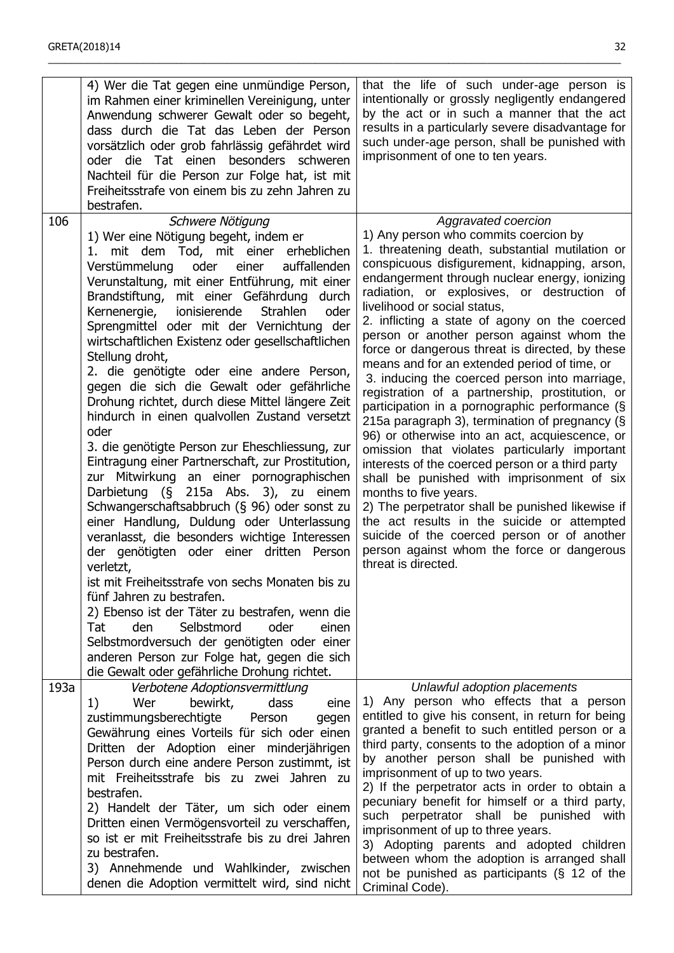|      | 4) Wer die Tat gegen eine unmündige Person,<br>im Rahmen einer kriminellen Vereinigung, unter<br>Anwendung schwerer Gewalt oder so begeht,<br>dass durch die Tat das Leben der Person<br>vorsätzlich oder grob fahrlässig gefährdet wird<br>oder die Tat einen besonders schweren<br>Nachteil für die Person zur Folge hat, ist mit<br>Freiheitsstrafe von einem bis zu zehn Jahren zu<br>bestrafen.                                                                                                                                                                                                                                                                                                                                                                                                                                                                                                                                                                                                                                                                                                                                                                                                                                                                                                                                                                          | that the life of such under-age person is<br>intentionally or grossly negligently endangered<br>by the act or in such a manner that the act<br>results in a particularly severe disadvantage for<br>such under-age person, shall be punished with<br>imprisonment of one to ten years.                                                                                                                                                                                                                                                                                                                                                                                                                                                                                                                                                                                                                                                                                                                                                                                                                                                                         |
|------|-------------------------------------------------------------------------------------------------------------------------------------------------------------------------------------------------------------------------------------------------------------------------------------------------------------------------------------------------------------------------------------------------------------------------------------------------------------------------------------------------------------------------------------------------------------------------------------------------------------------------------------------------------------------------------------------------------------------------------------------------------------------------------------------------------------------------------------------------------------------------------------------------------------------------------------------------------------------------------------------------------------------------------------------------------------------------------------------------------------------------------------------------------------------------------------------------------------------------------------------------------------------------------------------------------------------------------------------------------------------------------|----------------------------------------------------------------------------------------------------------------------------------------------------------------------------------------------------------------------------------------------------------------------------------------------------------------------------------------------------------------------------------------------------------------------------------------------------------------------------------------------------------------------------------------------------------------------------------------------------------------------------------------------------------------------------------------------------------------------------------------------------------------------------------------------------------------------------------------------------------------------------------------------------------------------------------------------------------------------------------------------------------------------------------------------------------------------------------------------------------------------------------------------------------------|
| 106  | Schwere Nötigung<br>1) Wer eine Nötigung begeht, indem er<br>1. mit dem Tod, mit einer erheblichen<br>Verstümmelung<br>oder<br>einer<br>auffallenden<br>Verunstaltung, mit einer Entführung, mit einer<br>Brandstiftung, mit einer Gefährdung durch<br><b>Strahlen</b><br>Kernenergie,<br>ionisierende<br>oder<br>Sprengmittel oder mit der Vernichtung der<br>wirtschaftlichen Existenz oder gesellschaftlichen<br>Stellung droht,<br>2. die genötigte oder eine andere Person,<br>gegen die sich die Gewalt oder gefährliche<br>Drohung richtet, durch diese Mittel längere Zeit<br>hindurch in einen qualvollen Zustand versetzt<br>oder<br>3. die genötigte Person zur Eheschliessung, zur<br>Eintragung einer Partnerschaft, zur Prostitution,<br>zur Mitwirkung an einer pornographischen<br>Darbietung (§ 215a Abs. 3), zu einem<br>Schwangerschaftsabbruch (§ 96) oder sonst zu<br>einer Handlung, Duldung oder Unterlassung<br>veranlasst, die besonders wichtige Interessen<br>der genötigten oder einer dritten Person<br>verletzt,<br>ist mit Freiheitsstrafe von sechs Monaten bis zu<br>fünf Jahren zu bestrafen.<br>2) Ebenso ist der Täter zu bestrafen, wenn die<br>Selbstmord<br>Tat<br>oder<br>den<br>einen<br>Selbstmordversuch der genötigten oder einer<br>anderen Person zur Folge hat, gegen die sich<br>die Gewalt oder gefährliche Drohung richtet. | Aggravated coercion<br>1) Any person who commits coercion by<br>1. threatening death, substantial mutilation or<br>conspicuous disfigurement, kidnapping, arson,<br>endangerment through nuclear energy, ionizing<br>radiation, or explosives, or destruction of<br>livelihood or social status,<br>2. inflicting a state of agony on the coerced<br>person or another person against whom the<br>force or dangerous threat is directed, by these<br>means and for an extended period of time, or<br>3. inducing the coerced person into marriage,<br>registration of a partnership, prostitution, or<br>participation in a pornographic performance (§<br>215a paragraph 3), termination of pregnancy (§<br>96) or otherwise into an act, acquiescence, or<br>omission that violates particularly important<br>interests of the coerced person or a third party<br>shall be punished with imprisonment of six<br>months to five years.<br>2) The perpetrator shall be punished likewise if<br>the act results in the suicide or attempted<br>suicide of the coerced person or of another<br>person against whom the force or dangerous<br>threat is directed. |
| 193a | Verbotene Adoptionsvermittlung<br>bewirkt,<br>dass<br>1)<br>Wer<br>eine<br>zustimmungsberechtigte<br>Person<br>gegen<br>Gewährung eines Vorteils für sich oder einen<br>Dritten der Adoption einer minderjährigen<br>Person durch eine andere Person zustimmt, ist<br>mit Freiheitsstrafe bis zu zwei Jahren zu<br>bestrafen.<br>2) Handelt der Täter, um sich oder einem<br>Dritten einen Vermögensvorteil zu verschaffen,<br>so ist er mit Freiheitsstrafe bis zu drei Jahren<br>zu bestrafen.<br>3) Annehmende und Wahlkinder, zwischen<br>denen die Adoption vermittelt wird, sind nicht                                                                                                                                                                                                                                                                                                                                                                                                                                                                                                                                                                                                                                                                                                                                                                                  | Unlawful adoption placements<br>1) Any person who effects that a person<br>entitled to give his consent, in return for being<br>granted a benefit to such entitled person or a<br>third party, consents to the adoption of a minor<br>by another person shall be punished with<br>imprisonment of up to two years.<br>2) If the perpetrator acts in order to obtain a<br>pecuniary benefit for himself or a third party,<br>such perpetrator shall be punished with<br>imprisonment of up to three years.<br>3) Adopting parents and adopted children<br>between whom the adoption is arranged shall<br>not be punished as participants (§ 12 of the<br>Criminal Code).                                                                                                                                                                                                                                                                                                                                                                                                                                                                                        |

\_\_\_\_\_\_\_\_\_\_\_\_\_\_\_\_\_\_\_\_\_\_\_\_\_\_\_\_\_\_\_\_\_\_\_\_\_\_\_\_\_\_\_\_\_\_\_\_\_\_\_\_\_\_\_\_\_\_\_\_\_\_\_\_\_\_\_\_\_\_\_\_\_\_\_\_\_\_\_\_\_\_\_\_\_\_\_\_\_\_\_\_\_\_\_\_\_\_\_\_\_\_\_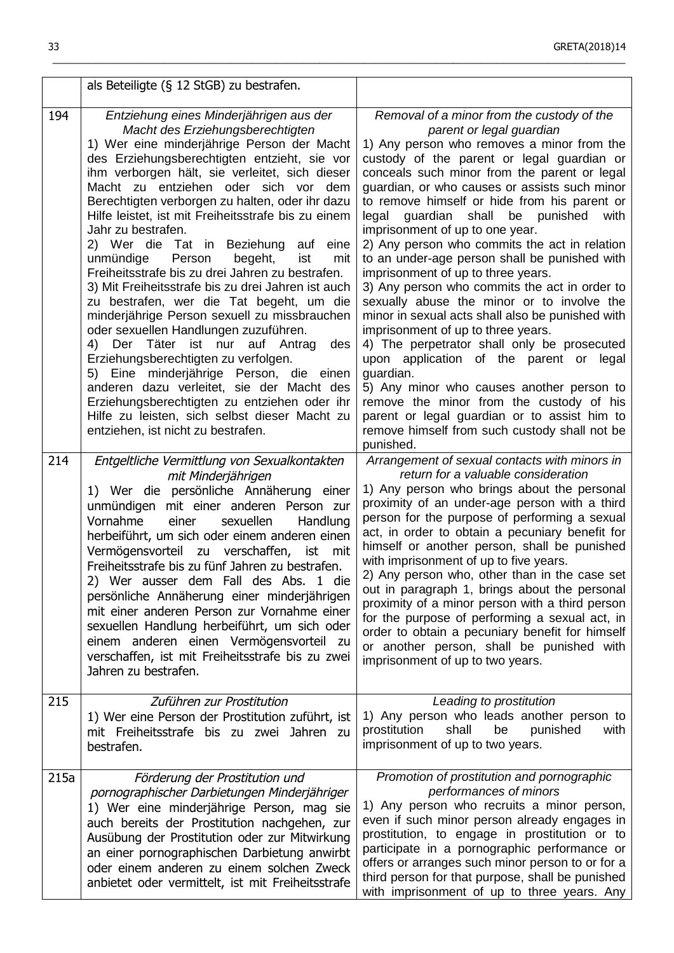|      | als Beteiligte (§ 12 StGB) zu bestrafen.                                                                                                                                                                                                                                                                                                                                                                                                                                                                                                                                                                                                                                                                                                                                                                                                                                                                                                                                                                                                                       |                                                                                                                                                                                                                                                                                                                                                                                                                                                                                                                                                                                                                                                                                                                                                                                                                                                                                                                                                                                                                                                      |
|------|----------------------------------------------------------------------------------------------------------------------------------------------------------------------------------------------------------------------------------------------------------------------------------------------------------------------------------------------------------------------------------------------------------------------------------------------------------------------------------------------------------------------------------------------------------------------------------------------------------------------------------------------------------------------------------------------------------------------------------------------------------------------------------------------------------------------------------------------------------------------------------------------------------------------------------------------------------------------------------------------------------------------------------------------------------------|------------------------------------------------------------------------------------------------------------------------------------------------------------------------------------------------------------------------------------------------------------------------------------------------------------------------------------------------------------------------------------------------------------------------------------------------------------------------------------------------------------------------------------------------------------------------------------------------------------------------------------------------------------------------------------------------------------------------------------------------------------------------------------------------------------------------------------------------------------------------------------------------------------------------------------------------------------------------------------------------------------------------------------------------------|
| 194  | Entziehung eines Minderjährigen aus der<br>Macht des Erziehungsberechtigten<br>1) Wer eine minderjährige Person der Macht<br>des Erziehungsberechtigten entzieht, sie vor<br>ihm verborgen hält, sie verleitet, sich dieser<br>Macht zu entziehen oder sich vor dem<br>Berechtigten verborgen zu halten, oder ihr dazu<br>Hilfe leistet, ist mit Freiheitsstrafe bis zu einem<br>Jahr zu bestrafen.<br>2) Wer die Tat in Beziehung auf eine<br>unmündige<br>Person<br>begeht,<br>ist<br>mit<br>Freiheitsstrafe bis zu drei Jahren zu bestrafen.<br>3) Mit Freiheitsstrafe bis zu drei Jahren ist auch<br>zu bestrafen, wer die Tat begeht, um die<br>minderjährige Person sexuell zu missbrauchen<br>oder sexuellen Handlungen zuzuführen.<br>Der Täter ist nur auf Antrag<br>4)<br>des<br>Erziehungsberechtigten zu verfolgen.<br>5) Eine minderjährige Person, die einen<br>anderen dazu verleitet, sie der Macht des<br>Erziehungsberechtigten zu entziehen oder ihr<br>Hilfe zu leisten, sich selbst dieser Macht zu<br>entziehen, ist nicht zu bestrafen. | Removal of a minor from the custody of the<br>parent or legal guardian<br>1) Any person who removes a minor from the<br>custody of the parent or legal guardian or<br>conceals such minor from the parent or legal<br>guardian, or who causes or assists such minor<br>to remove himself or hide from his parent or<br>guardian shall be punished<br>legal<br>with<br>imprisonment of up to one year.<br>2) Any person who commits the act in relation<br>to an under-age person shall be punished with<br>imprisonment of up to three years.<br>3) Any person who commits the act in order to<br>sexually abuse the minor or to involve the<br>minor in sexual acts shall also be punished with<br>imprisonment of up to three years.<br>4) The perpetrator shall only be prosecuted<br>upon application of the parent or legal<br>guardian.<br>5) Any minor who causes another person to<br>remove the minor from the custody of his<br>parent or legal guardian or to assist him to<br>remove himself from such custody shall not be<br>punished. |
| 214  | Entgeltliche Vermittlung von Sexualkontakten<br>mit Minderjährigen<br>1) Wer die persönliche Annäherung einer<br>unmündigen mit einer anderen Person zur<br>Vornahme<br>sexuellen<br>einer<br>Handlung<br>herbeiführt, um sich oder einem anderen einen<br>Vermögensvorteil zu verschaffen, ist<br>mit<br>Freiheitsstrafe bis zu fünf Jahren zu bestrafen.<br>2) Wer ausser dem Fall des Abs. 1 die<br>persönliche Annäherung einer minderjährigen<br>mit einer anderen Person zur Vornahme einer<br>sexuellen Handlung herbeiführt, um sich oder<br>einem anderen einen Vermögensvorteil zu<br>verschaffen, ist mit Freiheitsstrafe bis zu zwei<br>Jahren zu bestrafen.                                                                                                                                                                                                                                                                                                                                                                                       | Arrangement of sexual contacts with minors in<br>return for a valuable consideration<br>1) Any person who brings about the personal<br>proximity of an under-age person with a third<br>person for the purpose of performing a sexual<br>act, in order to obtain a pecuniary benefit for<br>himself or another person, shall be punished<br>with imprisonment of up to five years.<br>2) Any person who, other than in the case set<br>out in paragraph 1, brings about the personal<br>proximity of a minor person with a third person<br>for the purpose of performing a sexual act, in<br>order to obtain a pecuniary benefit for himself<br>or another person, shall be punished with<br>imprisonment of up to two years.                                                                                                                                                                                                                                                                                                                        |
| 215  | Zuführen zur Prostitution<br>1) Wer eine Person der Prostitution zuführt, ist<br>mit Freiheitsstrafe bis zu zwei Jahren zu<br>bestrafen.                                                                                                                                                                                                                                                                                                                                                                                                                                                                                                                                                                                                                                                                                                                                                                                                                                                                                                                       | Leading to prostitution<br>1) Any person who leads another person to<br>prostitution<br>shall<br>be<br>punished<br>with<br>imprisonment of up to two years.                                                                                                                                                                                                                                                                                                                                                                                                                                                                                                                                                                                                                                                                                                                                                                                                                                                                                          |
| 215a | Förderung der Prostitution und<br>pornographischer Darbietungen Minderjähriger<br>1) Wer eine minderjährige Person, mag sie<br>auch bereits der Prostitution nachgehen, zur<br>Ausübung der Prostitution oder zur Mitwirkung<br>an einer pornographischen Darbietung anwirbt<br>oder einem anderen zu einem solchen Zweck<br>anbietet oder vermittelt, ist mit Freiheitsstrafe                                                                                                                                                                                                                                                                                                                                                                                                                                                                                                                                                                                                                                                                                 | Promotion of prostitution and pornographic<br>performances of minors<br>1) Any person who recruits a minor person,<br>even if such minor person already engages in<br>prostitution, to engage in prostitution or to<br>participate in a pornographic performance or<br>offers or arranges such minor person to or for a<br>third person for that purpose, shall be punished<br>with imprisonment of up to three years. Any                                                                                                                                                                                                                                                                                                                                                                                                                                                                                                                                                                                                                           |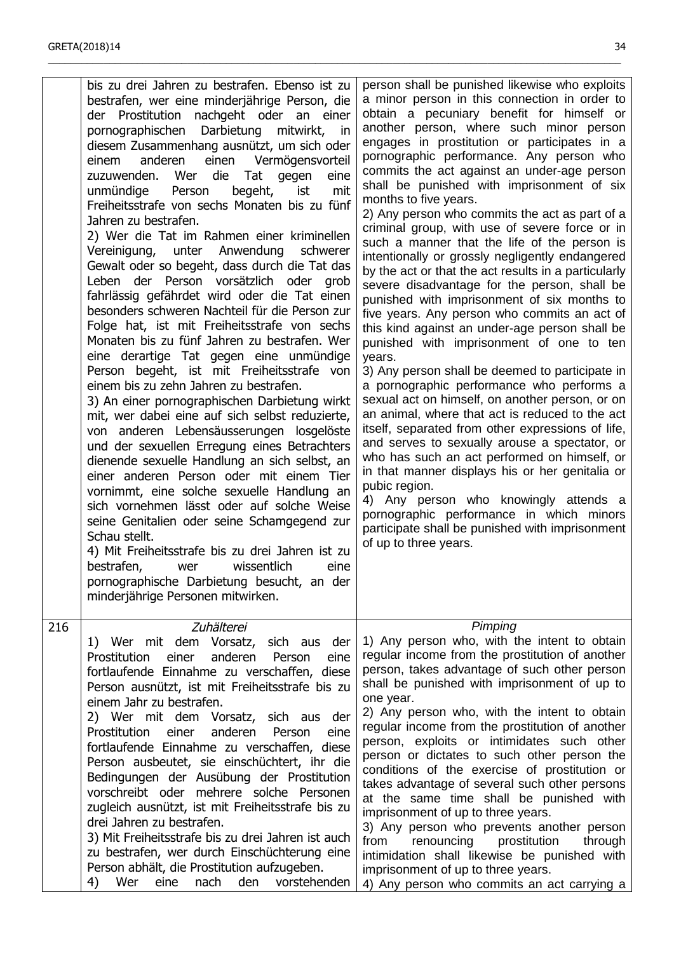|     | bis zu drei Jahren zu bestrafen. Ebenso ist zu<br>bestrafen, wer eine minderjährige Person, die<br>der Prostitution nachgeht oder an einer<br>pornographischen Darbietung<br>mitwirkt,<br>in<br>diesem Zusammenhang ausnützt, um sich oder<br>anderen einen Vermögensvorteil<br>einem<br>die<br>Wer<br>Tat<br>zuzuwenden.<br>eine<br>gegen<br>unmündige<br>begeht,<br>ist<br>mit<br>Person<br>Freiheitsstrafe von sechs Monaten bis zu fünf<br>Jahren zu bestrafen.<br>2) Wer die Tat im Rahmen einer kriminellen<br>Vereinigung, unter Anwendung<br>schwerer<br>Gewalt oder so begeht, dass durch die Tat das<br>Leben der Person vorsätzlich oder grob<br>fahrlässig gefährdet wird oder die Tat einen<br>besonders schweren Nachteil für die Person zur<br>Folge hat, ist mit Freiheitsstrafe von sechs<br>Monaten bis zu fünf Jahren zu bestrafen. Wer<br>eine derartige Tat gegen eine unmündige<br>Person begeht, ist mit Freiheitsstrafe von<br>einem bis zu zehn Jahren zu bestrafen.<br>3) An einer pornographischen Darbietung wirkt<br>mit, wer dabei eine auf sich selbst reduzierte,<br>von anderen Lebensäusserungen losgelöste<br>und der sexuellen Erregung eines Betrachters<br>dienende sexuelle Handlung an sich selbst, an<br>einer anderen Person oder mit einem Tier<br>vornimmt, eine solche sexuelle Handlung an<br>sich vornehmen lässt oder auf solche Weise<br>seine Genitalien oder seine Schamgegend zur<br>Schau stellt.<br>4) Mit Freiheitsstrafe bis zu drei Jahren ist zu<br>wissentlich<br>bestrafen,<br>eine<br>wer<br>pornographische Darbietung besucht, an der<br>minderjährige Personen mitwirken. | person shall be punished likewise who exploits<br>a minor person in this connection in order to<br>obtain a pecuniary benefit for himself or<br>another person, where such minor person<br>engages in prostitution or participates in a<br>pornographic performance. Any person who<br>commits the act against an under-age person<br>shall be punished with imprisonment of six<br>months to five years.<br>2) Any person who commits the act as part of a<br>criminal group, with use of severe force or in<br>such a manner that the life of the person is<br>intentionally or grossly negligently endangered<br>by the act or that the act results in a particularly<br>severe disadvantage for the person, shall be<br>punished with imprisonment of six months to<br>five years. Any person who commits an act of<br>this kind against an under-age person shall be<br>punished with imprisonment of one to ten<br>years.<br>3) Any person shall be deemed to participate in<br>a pornographic performance who performs a<br>sexual act on himself, on another person, or on<br>an animal, where that act is reduced to the act<br>itself, separated from other expressions of life,<br>and serves to sexually arouse a spectator, or<br>who has such an act performed on himself, or<br>in that manner displays his or her genitalia or<br>pubic region.<br>4) Any person who knowingly attends a<br>pornographic performance in which minors<br>participate shall be punished with imprisonment<br>of up to three years. |
|-----|-------------------------------------------------------------------------------------------------------------------------------------------------------------------------------------------------------------------------------------------------------------------------------------------------------------------------------------------------------------------------------------------------------------------------------------------------------------------------------------------------------------------------------------------------------------------------------------------------------------------------------------------------------------------------------------------------------------------------------------------------------------------------------------------------------------------------------------------------------------------------------------------------------------------------------------------------------------------------------------------------------------------------------------------------------------------------------------------------------------------------------------------------------------------------------------------------------------------------------------------------------------------------------------------------------------------------------------------------------------------------------------------------------------------------------------------------------------------------------------------------------------------------------------------------------------------------------------------------------------------------------------------|----------------------------------------------------------------------------------------------------------------------------------------------------------------------------------------------------------------------------------------------------------------------------------------------------------------------------------------------------------------------------------------------------------------------------------------------------------------------------------------------------------------------------------------------------------------------------------------------------------------------------------------------------------------------------------------------------------------------------------------------------------------------------------------------------------------------------------------------------------------------------------------------------------------------------------------------------------------------------------------------------------------------------------------------------------------------------------------------------------------------------------------------------------------------------------------------------------------------------------------------------------------------------------------------------------------------------------------------------------------------------------------------------------------------------------------------------------------------------------------------------------------------------------|
| 216 | Zuhälterei<br>1) Wer mit dem Vorsatz, sich aus<br>der<br>Prostitution<br>anderen<br>einer<br>Person<br>eine<br>fortlaufende Einnahme zu verschaffen, diese<br>Person ausnützt, ist mit Freiheitsstrafe bis zu<br>einem Jahr zu bestrafen.<br>2) Wer mit dem Vorsatz, sich aus der<br>Prostitution<br>einer<br>anderen<br>Person<br>eine<br>fortlaufende Einnahme zu verschaffen, diese<br>Person ausbeutet, sie einschüchtert, ihr die<br>Bedingungen der Ausübung der Prostitution<br>vorschreibt oder mehrere solche Personen<br>zugleich ausnützt, ist mit Freiheitsstrafe bis zu<br>drei Jahren zu bestrafen.<br>3) Mit Freiheitsstrafe bis zu drei Jahren ist auch<br>zu bestrafen, wer durch Einschüchterung eine<br>Person abhält, die Prostitution aufzugeben.<br>Wer<br>4)<br>eine<br>nach<br>den<br>vorstehenden                                                                                                                                                                                                                                                                                                                                                                                                                                                                                                                                                                                                                                                                                                                                                                                                                | Pimping<br>1) Any person who, with the intent to obtain<br>regular income from the prostitution of another<br>person, takes advantage of such other person<br>shall be punished with imprisonment of up to<br>one year.<br>2) Any person who, with the intent to obtain<br>regular income from the prostitution of another<br>person, exploits or intimidates such other<br>person or dictates to such other person the<br>conditions of the exercise of prostitution or<br>takes advantage of several such other persons<br>at the same time shall be punished with<br>imprisonment of up to three years.<br>3) Any person who prevents another person<br>from<br>renouncing<br>prostitution<br>through<br>intimidation shall likewise be punished with<br>imprisonment of up to three years.<br>4) Any person who commits an act carrying a                                                                                                                                                                                                                                                                                                                                                                                                                                                                                                                                                                                                                                                                                    |

\_\_\_\_\_\_\_\_\_\_\_\_\_\_\_\_\_\_\_\_\_\_\_\_\_\_\_\_\_\_\_\_\_\_\_\_\_\_\_\_\_\_\_\_\_\_\_\_\_\_\_\_\_\_\_\_\_\_\_\_\_\_\_\_\_\_\_\_\_\_\_\_\_\_\_\_\_\_\_\_\_\_\_\_\_\_\_\_\_\_\_\_\_\_\_\_\_\_\_\_\_\_\_